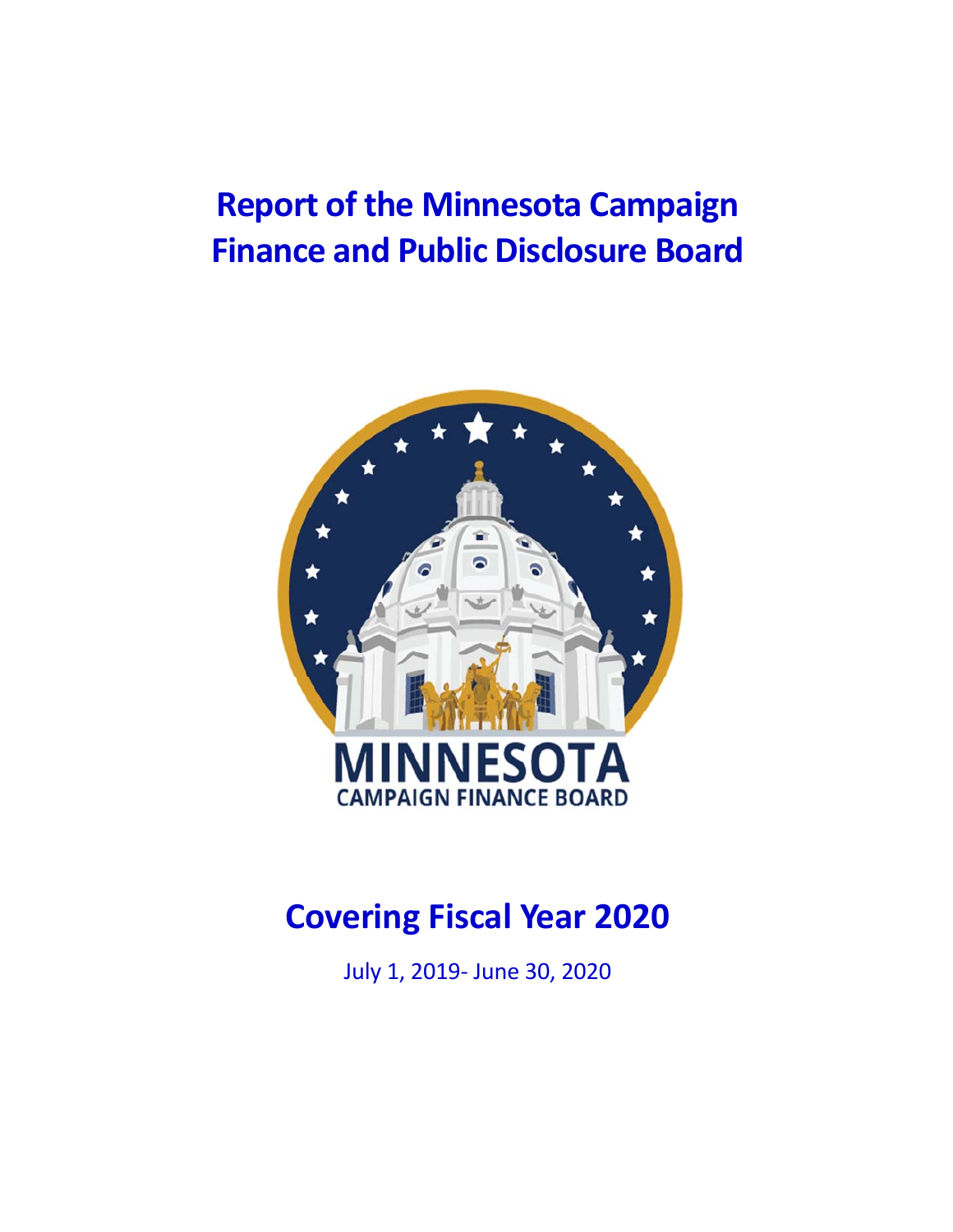# **Report of the Minnesota Campaign Finance and Public Disclosure Board**



# **Covering Fiscal Year 2020**

July 1, 2019‐ June 30, 2020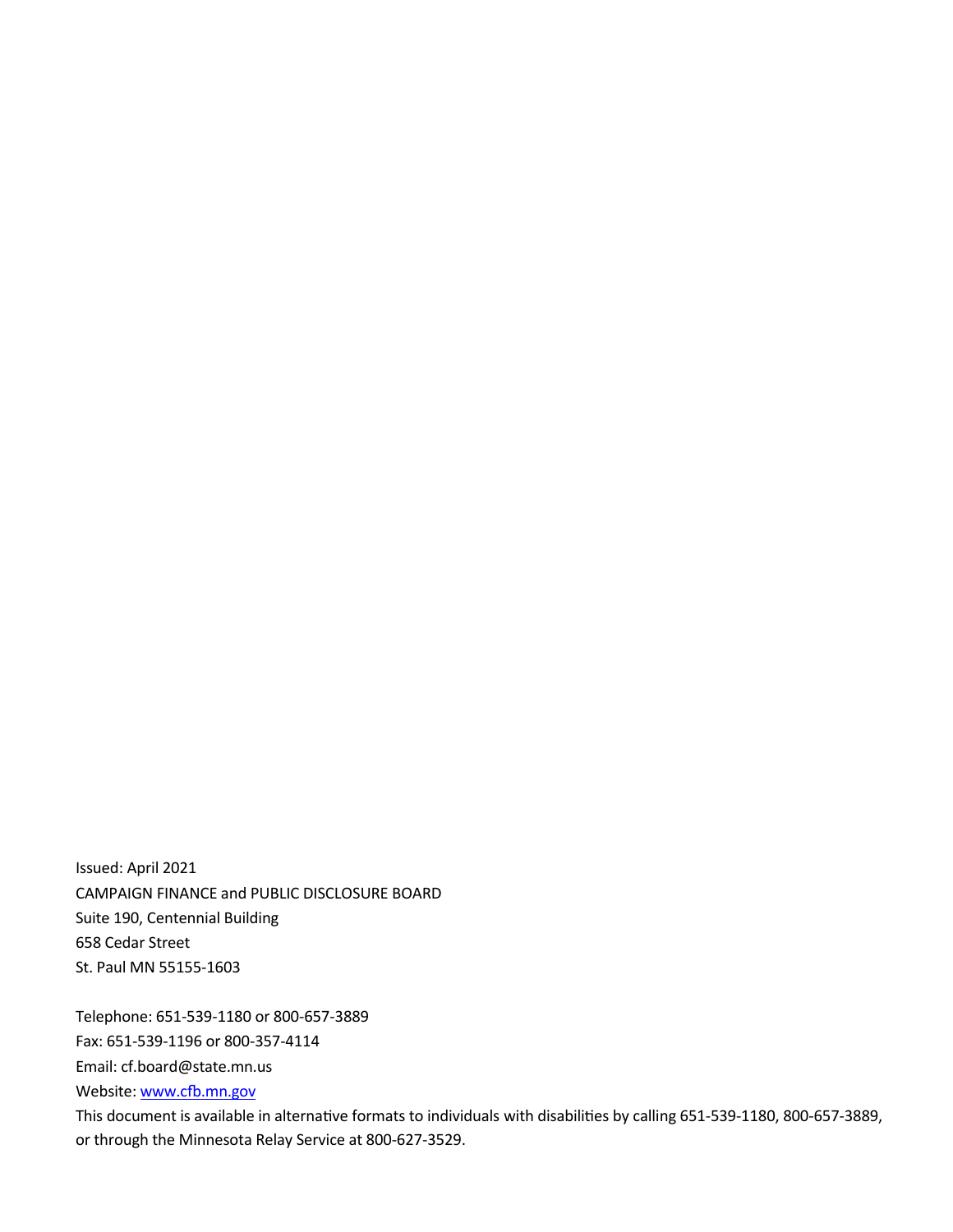Issued: April 2021 CAMPAIGN FINANCE and PUBLIC DISCLOSURE BOARD Suite 190, Centennial Building 658 Cedar Street St. Paul MN 55155‐1603

Telephone: 651‐539‐1180 or 800‐657‐3889

Fax: 651‐539‐1196 or 800‐357‐4114

Email: cf.board@state.mn.us

Website: www.cfb.mn.gov

This document is available in alternative formats to individuals with disabilities by calling 651-539-1180, 800-657-3889, or through the Minnesota Relay Service at 800‐627‐3529.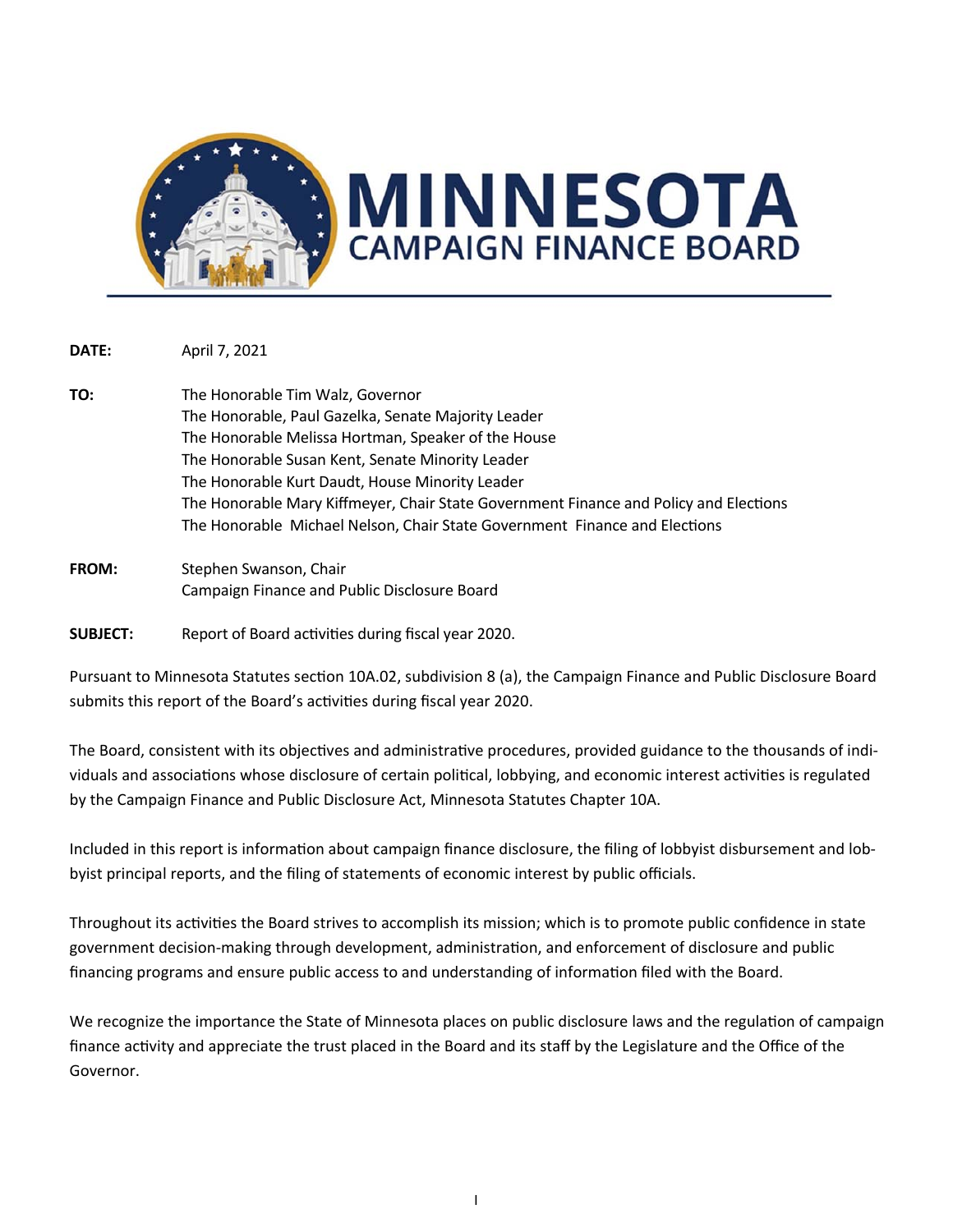

**DATE:** April 7, 2021

- **TO:** The Honorable Tim Walz, Governor The Honorable, Paul Gazelka, Senate Majority Leader The Honorable Melissa Hortman, Speaker of the House The Honorable Susan Kent, Senate Minority Leader The Honorable Kurt Daudt, House Minority Leader The Honorable Mary Kiffmeyer, Chair State Government Finance and Policy and Elections The Honorable Michael Nelson, Chair State Government Finance and Elections
- FROM: Stephen Swanson, Chair Campaign Finance and Public Disclosure Board

**SUBJECT:** Report of Board activities during fiscal year 2020.

Pursuant to Minnesota Statutes section 10A.02, subdivision 8 (a), the Campaign Finance and Public Disclosure Board submits this report of the Board's activities during fiscal year 2020.

The Board, consistent with its objectives and administrative procedures, provided guidance to the thousands of individuals and associations whose disclosure of certain political, lobbying, and economic interest activities is regulated by the Campaign Finance and Public Disclosure Act, Minnesota Statutes Chapter 10A.

Included in this report is information about campaign finance disclosure, the filing of lobbyist disbursement and lobbyist principal reports, and the filing of statements of economic interest by public officials.

Throughout its activities the Board strives to accomplish its mission; which is to promote public confidence in state government decision-making through development, administration, and enforcement of disclosure and public financing programs and ensure public access to and understanding of information filed with the Board.

We recognize the importance the State of Minnesota places on public disclosure laws and the regulation of campaign finance activity and appreciate the trust placed in the Board and its staff by the Legislature and the Office of the Governor.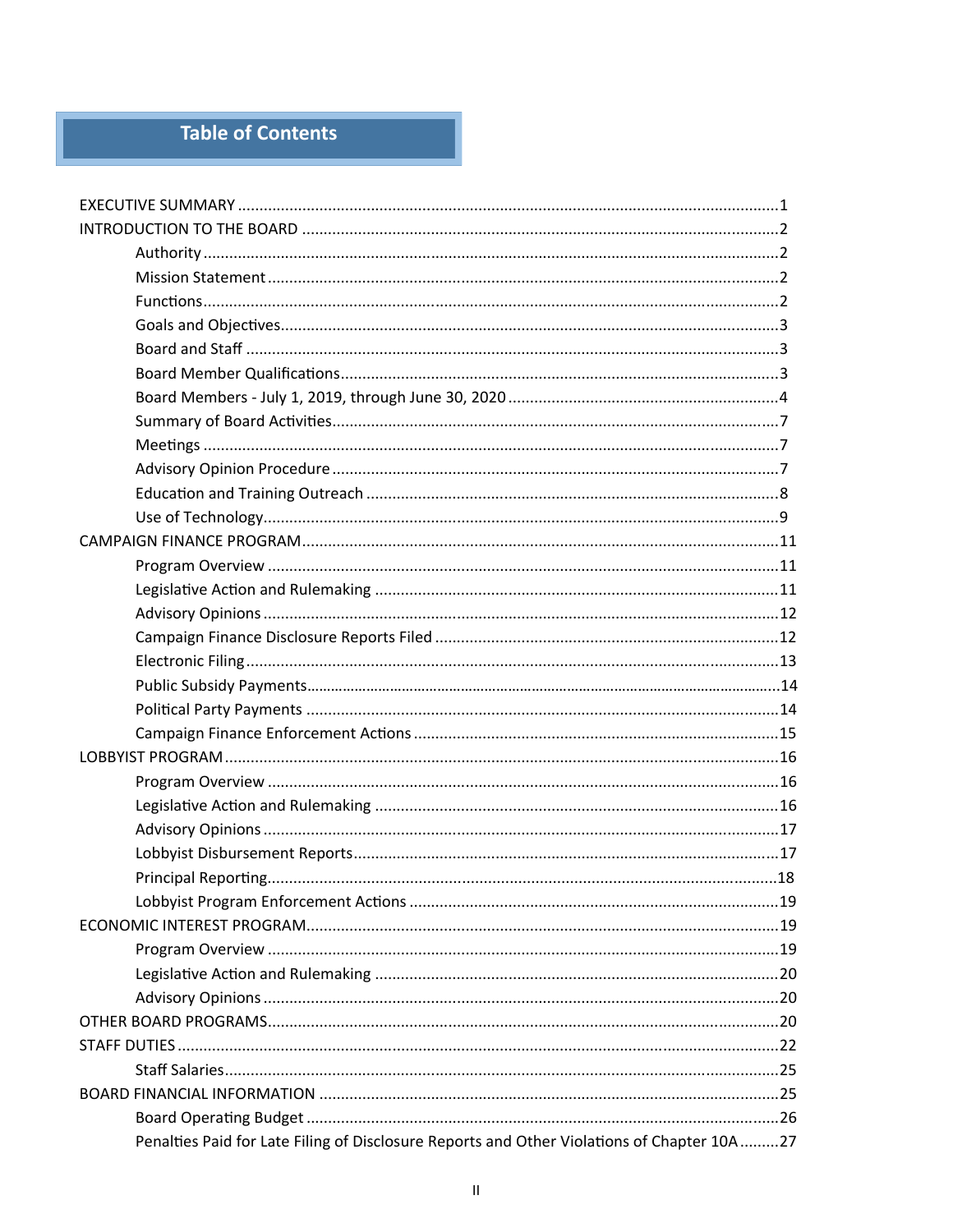## Table of Contents

| Penalties Paid for Late Filing of Disclosure Reports and Other Violations of Chapter 10A 27 |  |
|---------------------------------------------------------------------------------------------|--|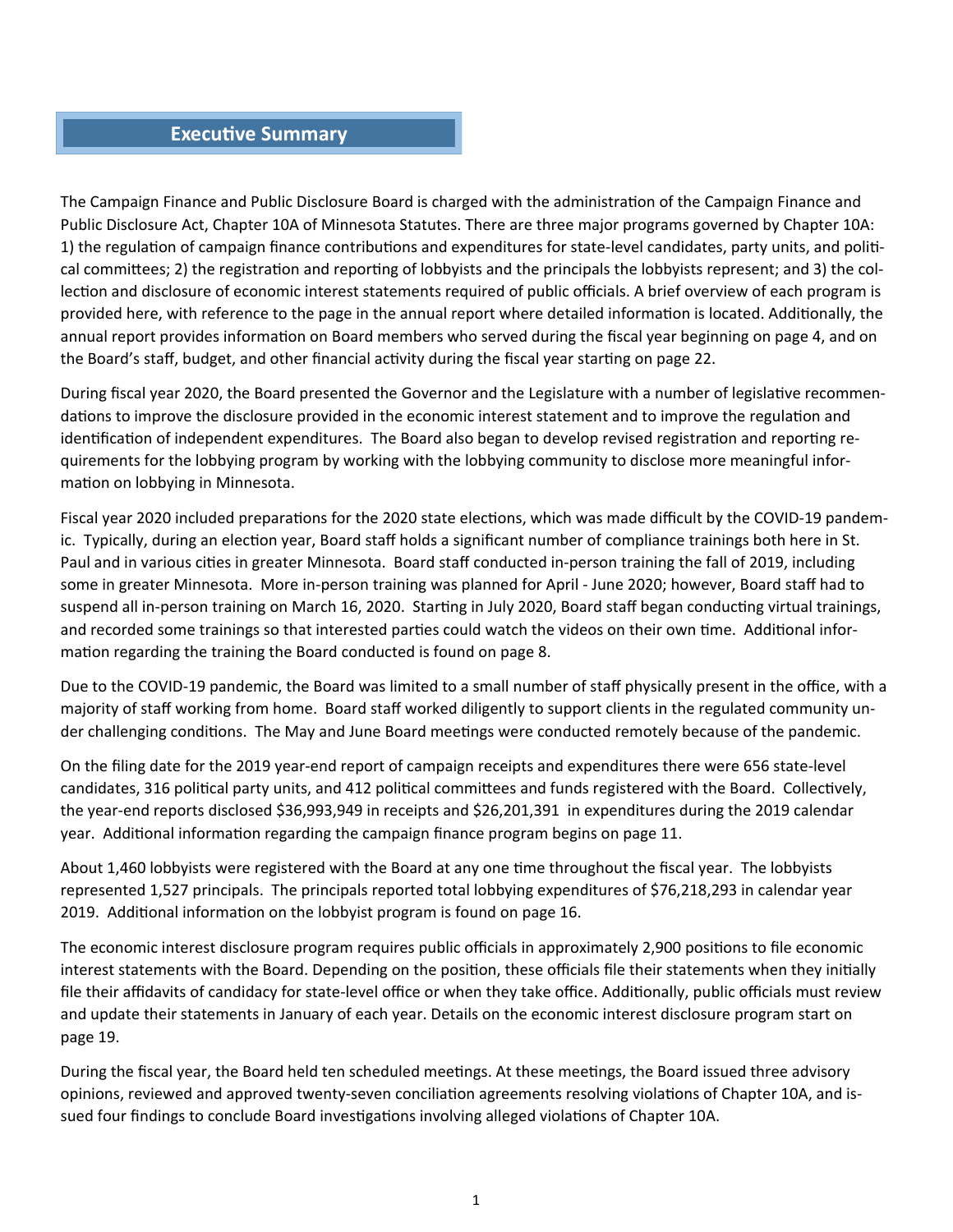#### **Executive Summary**

The Campaign Finance and Public Disclosure Board is charged with the administration of the Campaign Finance and Public Disclosure Act, Chapter 10A of Minnesota Statutes. There are three major programs governed by Chapter 10A: 1) the regulation of campaign finance contributions and expenditures for state-level candidates, party units, and political committees; 2) the registration and reporting of lobbyists and the principals the lobbyists represent; and 3) the collection and disclosure of economic interest statements required of public officials. A brief overview of each program is provided here, with reference to the page in the annual report where detailed information is located. Additionally, the annual report provides information on Board members who served during the fiscal year beginning on page 4, and on the Board's staff, budget, and other financial activity during the fiscal year starting on page 22.

During fiscal year 2020, the Board presented the Governor and the Legislature with a number of legislative recommendations to improve the disclosure provided in the economic interest statement and to improve the regulation and identification of independent expenditures. The Board also began to develop revised registration and reporting requirements for the lobbying program by working with the lobbying community to disclose more meaningful infor‐ mation on lobbying in Minnesota.

Fiscal year 2020 included preparations for the 2020 state elections, which was made difficult by the COVID-19 pandemic. Typically, during an election year, Board staff holds a significant number of compliance trainings both here in St. Paul and in various cities in greater Minnesota. Board staff conducted in-person training the fall of 2019, including some in greater Minnesota. More in‐person training was planned for April ‐ June 2020; however, Board staff had to suspend all in-person training on March 16, 2020. Starting in July 2020, Board staff began conducting virtual trainings, and recorded some trainings so that interested parties could watch the videos on their own time. Additional information regarding the training the Board conducted is found on page 8.

Due to the COVID‐19 pandemic, the Board was limited to a small number of staff physically present in the office, with a majority of staff working from home. Board staff worked diligently to support clients in the regulated community un‐ der challenging conditions. The May and June Board meetings were conducted remotely because of the pandemic.

On the filing date for the 2019 year‐end report of campaign receipts and expenditures there were 656 state‐level candidates, 316 political party units, and 412 political committees and funds registered with the Board. Collectively, the year‐end reports disclosed \$36,993,949 in receipts and \$26,201,391 in expenditures during the 2019 calendar year. Additional information regarding the campaign finance program begins on page 11.

About 1,460 lobbyists were registered with the Board at any one time throughout the fiscal year. The lobbyists represented 1,527 principals. The principals reported total lobbying expenditures of \$76,218,293 in calendar year 2019. Additional information on the lobbyist program is found on page 16.

The economic interest disclosure program requires public officials in approximately 2,900 positions to file economic interest statements with the Board. Depending on the position, these officials file their statements when they initially file their affidavits of candidacy for state-level office or when they take office. Additionally, public officials must review and update their statements in January of each year. Details on the economic interest disclosure program start on page 19.

During the fiscal year, the Board held ten scheduled meetings. At these meetings, the Board issued three advisory opinions, reviewed and approved twenty-seven conciliation agreements resolving violations of Chapter 10A, and issued four findings to conclude Board investigations involving alleged violations of Chapter 10A.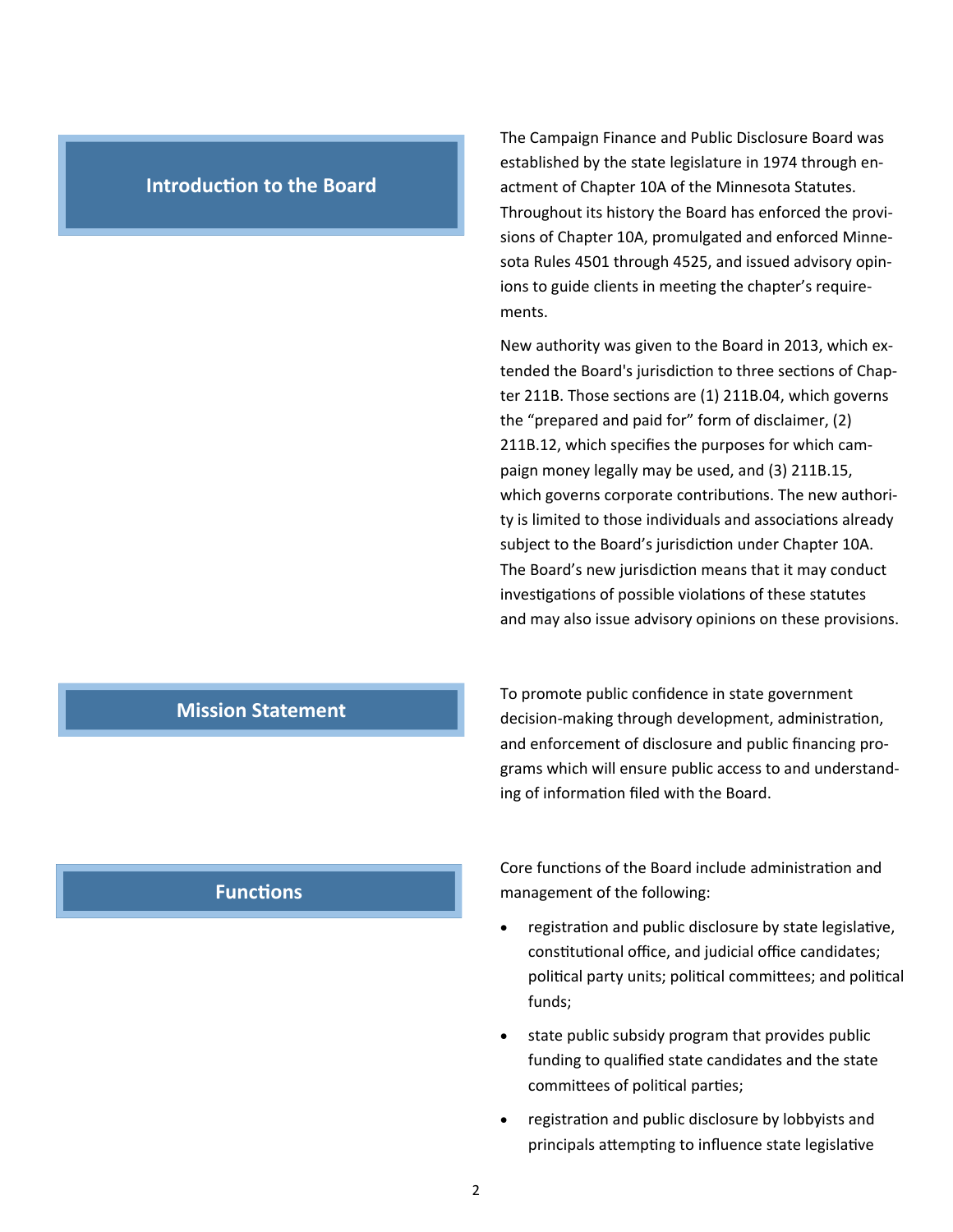#### **Introduction to the Board**

The Campaign Finance and Public Disclosure Board was established by the state legislature in 1974 through en‐ actment of Chapter 10A of the Minnesota Statutes. Throughout its history the Board has enforced the provi‐ sions of Chapter 10A, promulgated and enforced Minne‐ sota Rules 4501 through 4525, and issued advisory opin‐ ions to guide clients in meeting the chapter's requirements.

New authority was given to the Board in 2013, which ex‐ tended the Board's jurisdiction to three sections of Chapter 211B. Those sections are (1) 211B.04, which governs the "prepared and paid for" form of disclaimer, (2) 211B.12, which specifies the purposes for which cam‐ paign money legally may be used, and (3) 211B.15, which governs corporate contributions. The new authority is limited to those individuals and associations already subject to the Board's jurisdiction under Chapter 10A. The Board's new jurisdiction means that it may conduct investigations of possible violations of these statutes and may also issue advisory opinions on these provisions.

To promote public confidence in state government decision-making through development, administration, and enforcement of disclosure and public financing pro‐ grams which will ensure public access to and understand‐ ing of information filed with the Board.

## **Functions**

**Mission Statement** 

Core functions of the Board include administration and management of the following:

- registration and public disclosure by state legislative, constitutional office, and judicial office candidates; political party units; political committees; and political funds;
- state public subsidy program that provides public funding to qualified state candidates and the state committees of political parties;
- registration and public disclosure by lobbyists and principals attempting to influence state legislative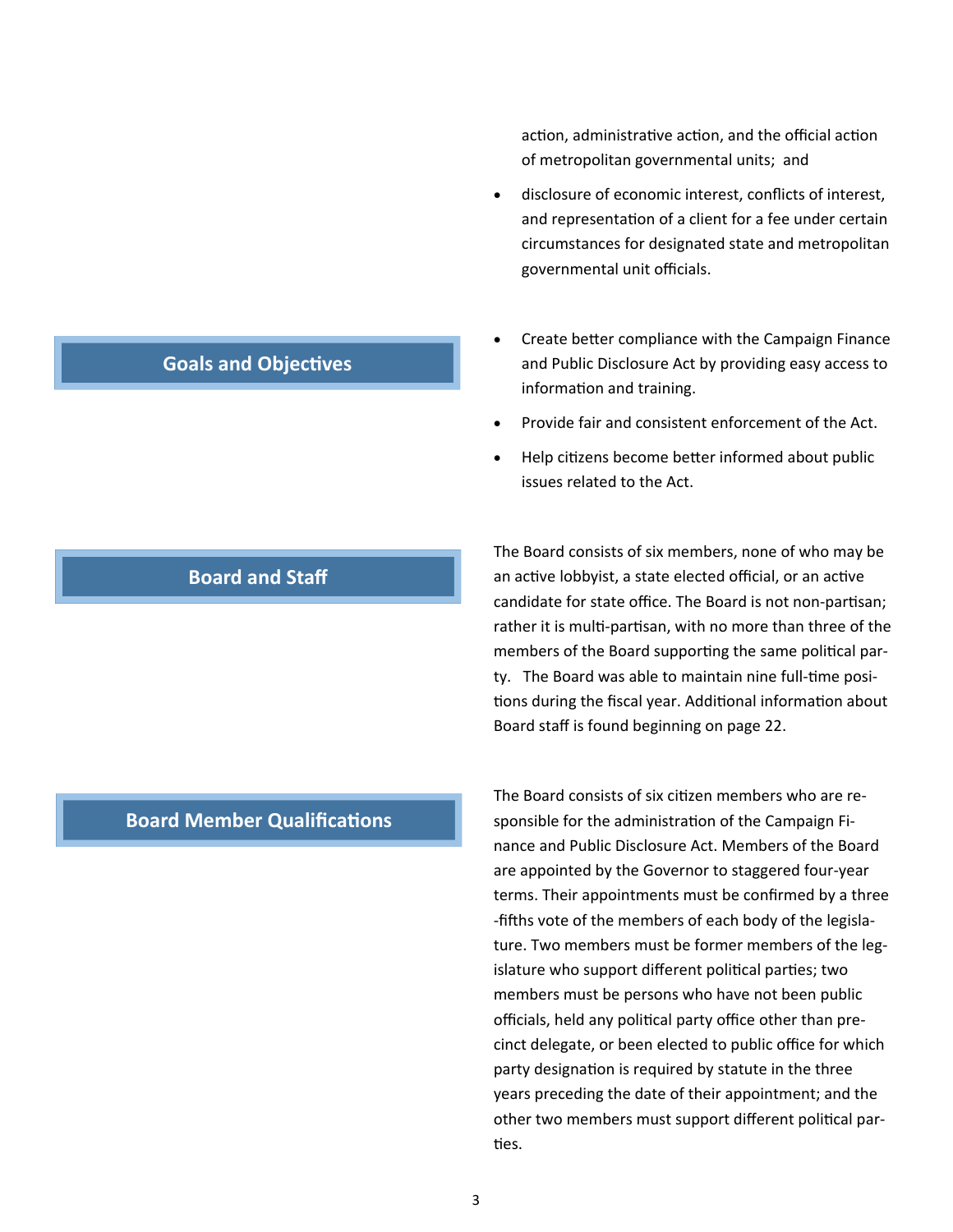action, administrative action, and the official action of metropolitan governmental units; and

- disclosure of economic interest, conflicts of interest, and representation of a client for a fee under certain circumstances for designated state and metropolitan governmental unit officials.
- Create better compliance with the Campaign Finance and Public Disclosure Act by providing easy access to information and training.
- Provide fair and consistent enforcement of the Act.
- Help citizens become better informed about public issues related to the Act.

The Board consists of six members, none of who may be an active lobbyist, a state elected official, or an active candidate for state office. The Board is not non-partisan; rather it is multi-partisan, with no more than three of the members of the Board supporting the same political party. The Board was able to maintain nine full-time positions during the fiscal year. Additional information about Board staff is found beginning on page 22.

**Board Member Qualifications** 

The Board consists of six citizen members who are responsible for the administration of the Campaign Finance and Public Disclosure Act. Members of the Board are appointed by the Governor to staggered four‐year terms. Their appointments must be confirmed by a three -fifths vote of the members of each body of the legislature. Two members must be former members of the leg‐ islature who support different political parties; two members must be persons who have not been public officials, held any political party office other than precinct delegate, or been elected to public office for which party designation is required by statute in the three years preceding the date of their appointment; and the other two members must support different political parties.

## **Goals and Objectives**

**Board and Staff**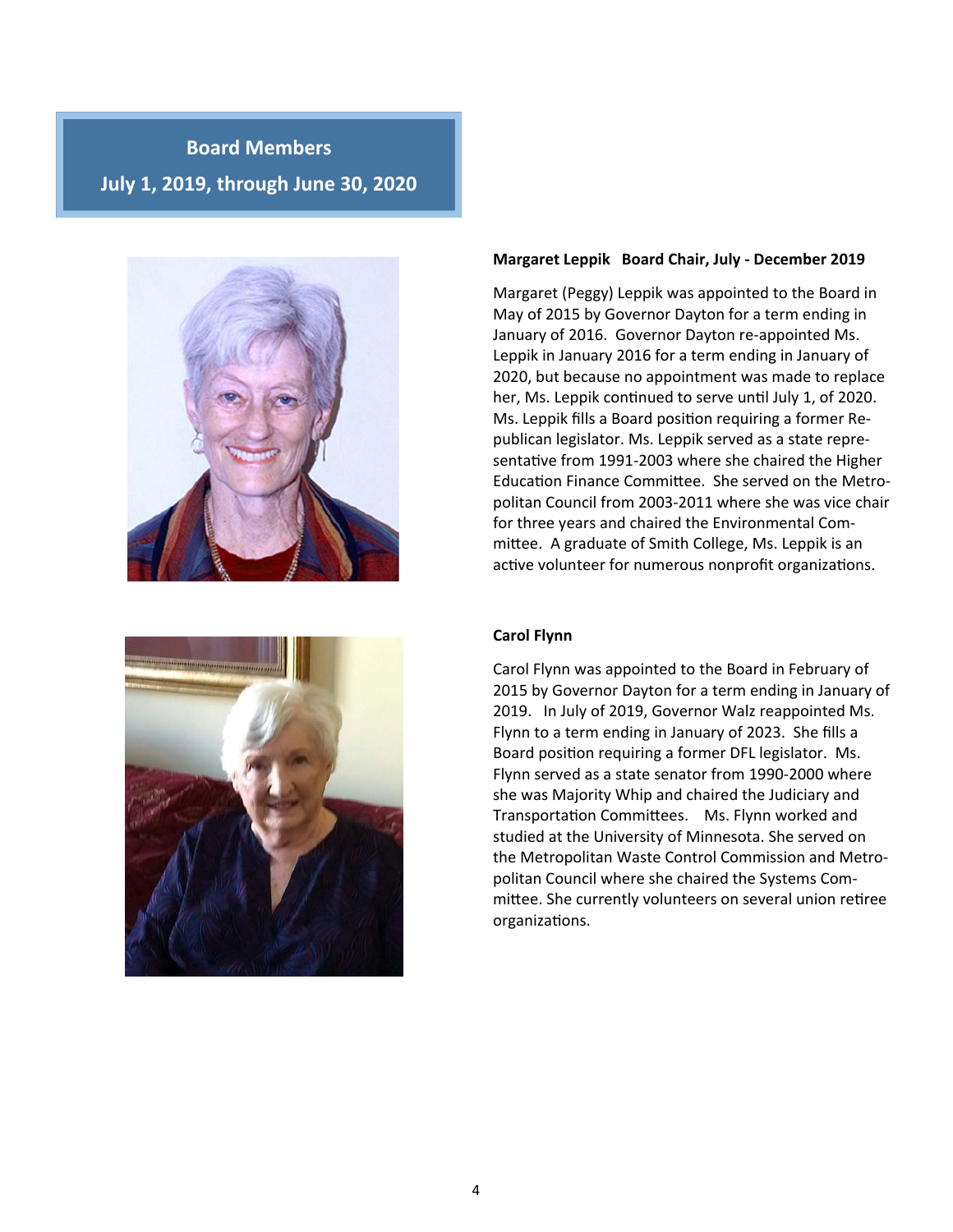## **Board Members July 1, 2019, through June 30, 2020**





#### **Margaret Leppik Board Chair, July ‐ December 2019**

Margaret (Peggy) Leppik was appointed to the Board in May of 2015 by Governor Dayton for a term ending in January of 2016. Governor Dayton re‐appointed Ms. Leppik in January 2016 for a term ending in January of 2020, but because no appointment was made to replace her, Ms. Leppik continued to serve until July 1, of 2020. Ms. Leppik fills a Board position requiring a former Republican legislator. Ms. Leppik served as a state repre‐ sentative from 1991-2003 where she chaired the Higher Education Finance Committee. She served on the Metropolitan Council from 2003‐2011 where she was vice chair for three years and chaired the Environmental Com‐ mittee. A graduate of Smith College, Ms. Leppik is an active volunteer for numerous nonprofit organizations.

#### **Carol Flynn**

Carol Flynn was appointed to the Board in February of 2015 by Governor Dayton for a term ending in January of 2019. In July of 2019, Governor Walz reappointed Ms. Flynn to a term ending in January of 2023. She fills a Board position requiring a former DFL legislator. Ms. Flynn served as a state senator from 1990‐2000 where she was Majority Whip and chaired the Judiciary and Transportation Committees. Ms. Flynn worked and studied at the University of Minnesota. She served on the Metropolitan Waste Control Commission and Metro‐ politan Council where she chaired the Systems Com‐ mittee. She currently volunteers on several union retiree organizaƟons.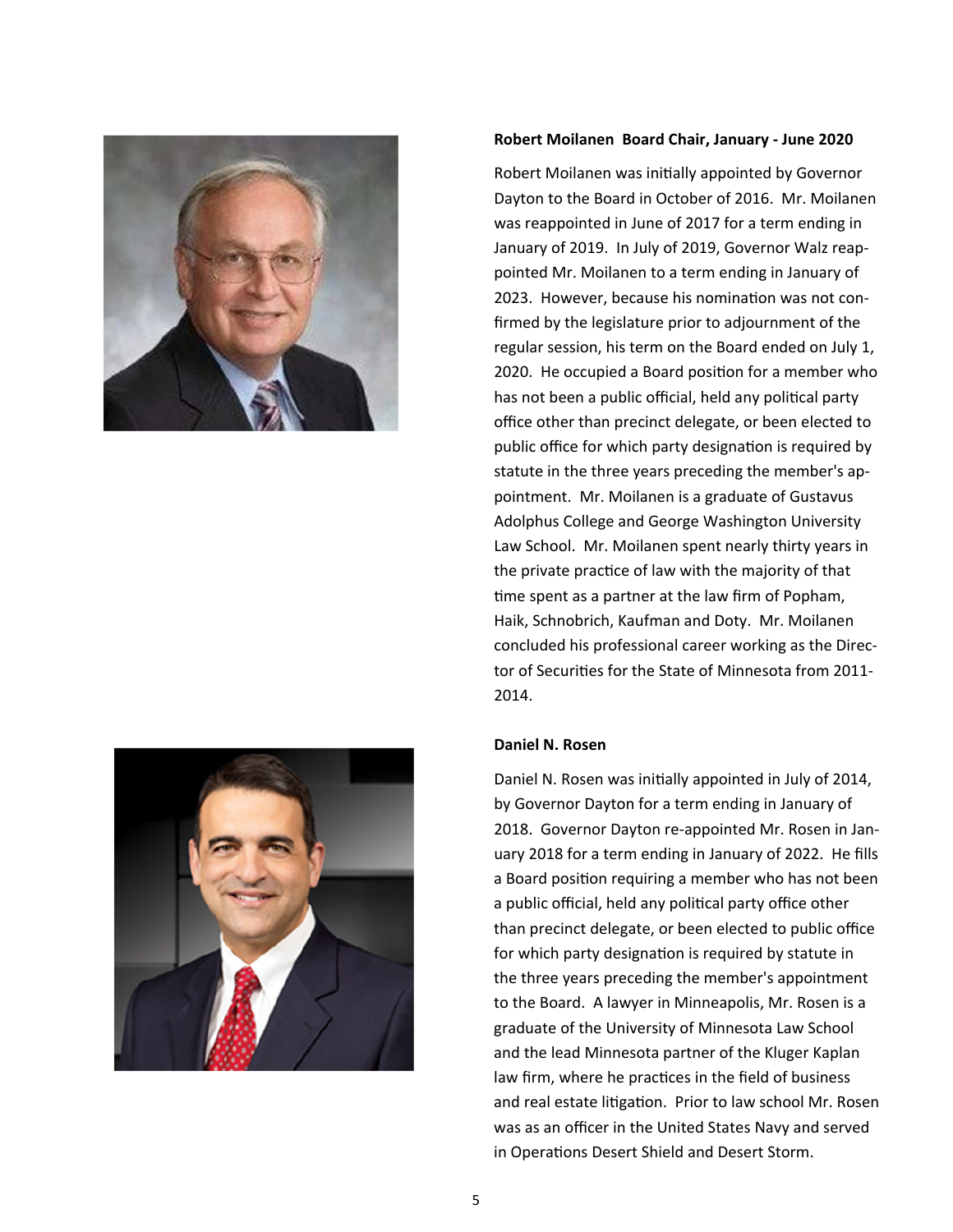



#### **Robert Moilanen Board Chair, January ‐ June 2020**

Robert Moilanen was initially appointed by Governor Dayton to the Board in October of 2016. Mr. Moilanen was reappointed in June of 2017 for a term ending in January of 2019. In July of 2019, Governor Walz reap‐ pointed Mr. Moilanen to a term ending in January of 2023. However, because his nomination was not confirmed by the legislature prior to adjournment of the regular session, his term on the Board ended on July 1, 2020. He occupied a Board position for a member who has not been a public official, held any political party office other than precinct delegate, or been elected to public office for which party designation is required by statute in the three years preceding the member's ap‐ pointment. Mr. Moilanen is a graduate of Gustavus Adolphus College and George Washington University Law School. Mr. Moilanen spent nearly thirty years in the private practice of law with the majority of that time spent as a partner at the law firm of Popham, Haik, Schnobrich, Kaufman and Doty. Mr. Moilanen concluded his professional career working as the Direc‐ tor of Securities for the State of Minnesota from 2011-2014.

#### **Daniel N. Rosen**

Daniel N. Rosen was initially appointed in July of 2014, by Governor Dayton for a term ending in January of 2018. Governor Dayton re‐appointed Mr. Rosen in Jan‐ uary 2018 for a term ending in January of 2022. He fills a Board position requiring a member who has not been a public official, held any political party office other than precinct delegate, or been elected to public office for which party designation is required by statute in the three years preceding the member's appointment to the Board. A lawyer in Minneapolis, Mr. Rosen is a graduate of the University of Minnesota Law School and the lead Minnesota partner of the Kluger Kaplan law firm, where he practices in the field of business and real estate litigation. Prior to law school Mr. Rosen was as an officer in the United States Navy and served in Operations Desert Shield and Desert Storm.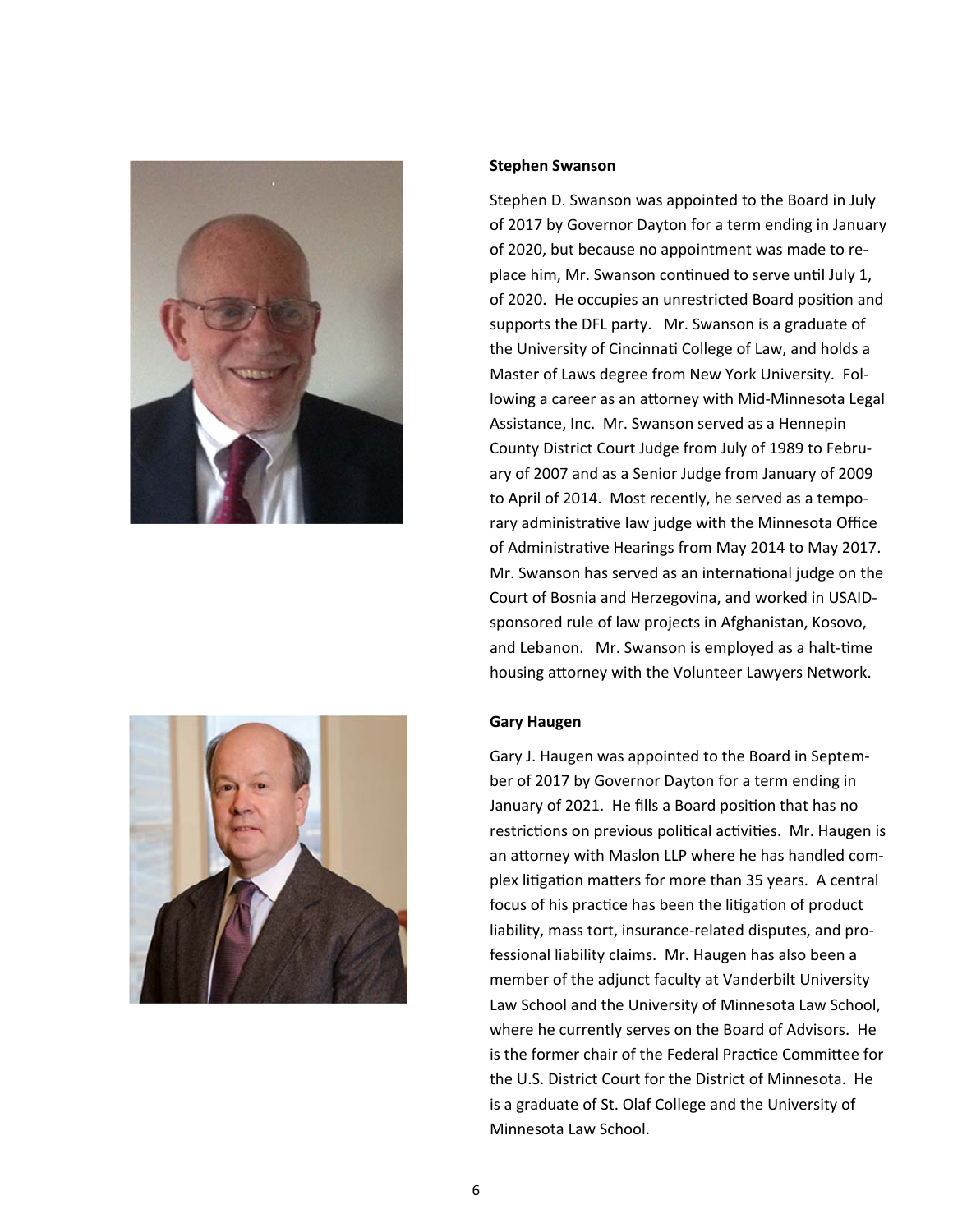



#### **Stephen Swanson**

Stephen D. Swanson was appointed to the Board in July of 2017 by Governor Dayton for a term ending in January of 2020, but because no appointment was made to re‐ place him, Mr. Swanson continued to serve until July 1, of 2020. He occupies an unrestricted Board position and supports the DFL party. Mr. Swanson is a graduate of the University of Cincinnati College of Law, and holds a Master of Laws degree from New York University. Fol‐ lowing a career as an attorney with Mid-Minnesota Legal Assistance, Inc. Mr. Swanson served as a Hennepin County District Court Judge from July of 1989 to Febru‐ ary of 2007 and as a Senior Judge from January of 2009 to April of 2014. Most recently, he served as a tempo‐ rary administrative law judge with the Minnesota Office of Administrative Hearings from May 2014 to May 2017. Mr. Swanson has served as an international judge on the Court of Bosnia and Herzegovina, and worked in USAID‐ sponsored rule of law projects in Afghanistan, Kosovo, and Lebanon. Mr. Swanson is employed as a halt-time housing attorney with the Volunteer Lawyers Network.

#### **Gary Haugen**

Gary J. Haugen was appointed to the Board in Septem‐ ber of 2017 by Governor Dayton for a term ending in January of 2021. He fills a Board position that has no restrictions on previous political activities. Mr. Haugen is an attorney with Maslon LLP where he has handled complex litigation matters for more than 35 years. A central focus of his practice has been the litigation of product liability, mass tort, insurance‐related disputes, and pro‐ fessional liability claims. Mr. Haugen has also been a member of the adjunct faculty at Vanderbilt University Law School and the University of Minnesota Law School, where he currently serves on the Board of Advisors. He is the former chair of the Federal Practice Committee for the U.S. District Court for the District of Minnesota. He is a graduate of St. Olaf College and the University of Minnesota Law School.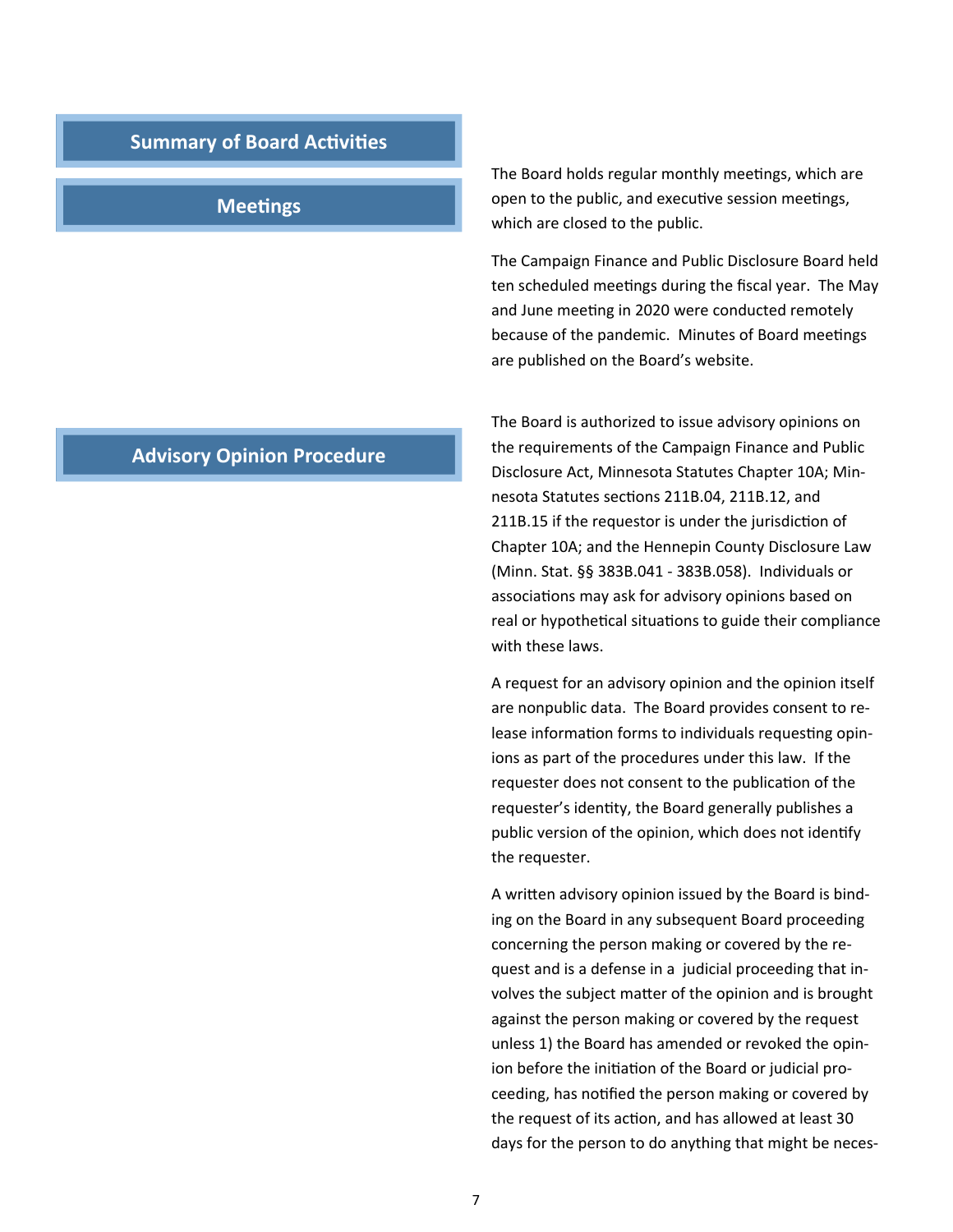#### **Summary of Board Activities**

#### **Meetings**

The Board holds regular monthly meetings, which are open to the public, and executive session meetings, which are closed to the public.

The Campaign Finance and Public Disclosure Board held ten scheduled meetings during the fiscal year. The May and June meeting in 2020 were conducted remotely because of the pandemic. Minutes of Board meetings are published on the Board's website.

The Board is authorized to issue advisory opinions on the requirements of the Campaign Finance and Public Disclosure Act, Minnesota Statutes Chapter 10A; Min‐ nesota Statutes sections 211B.04, 211B.12, and 211B.15 if the requestor is under the jurisdiction of Chapter 10A; and the Hennepin County Disclosure Law (Minn. Stat. §§ 383B.041 ‐ 383B.058). Individuals or associations may ask for advisory opinions based on real or hypothetical situations to guide their compliance with these laws.

A request for an advisory opinion and the opinion itself are nonpublic data. The Board provides consent to re‐ lease information forms to individuals requesting opinions as part of the procedures under this law. If the requester does not consent to the publication of the requester's identity, the Board generally publishes a public version of the opinion, which does not identify the requester.

A written advisory opinion issued by the Board is binding on the Board in any subsequent Board proceeding concerning the person making or covered by the re‐ quest and is a defense in a judicial proceeding that in‐ volves the subject matter of the opinion and is brought against the person making or covered by the request unless 1) the Board has amended or revoked the opin‐ ion before the initiation of the Board or judicial proceeding, has notified the person making or covered by the request of its action, and has allowed at least 30 days for the person to do anything that might be neces‐

## **Advisory Opinion Procedure**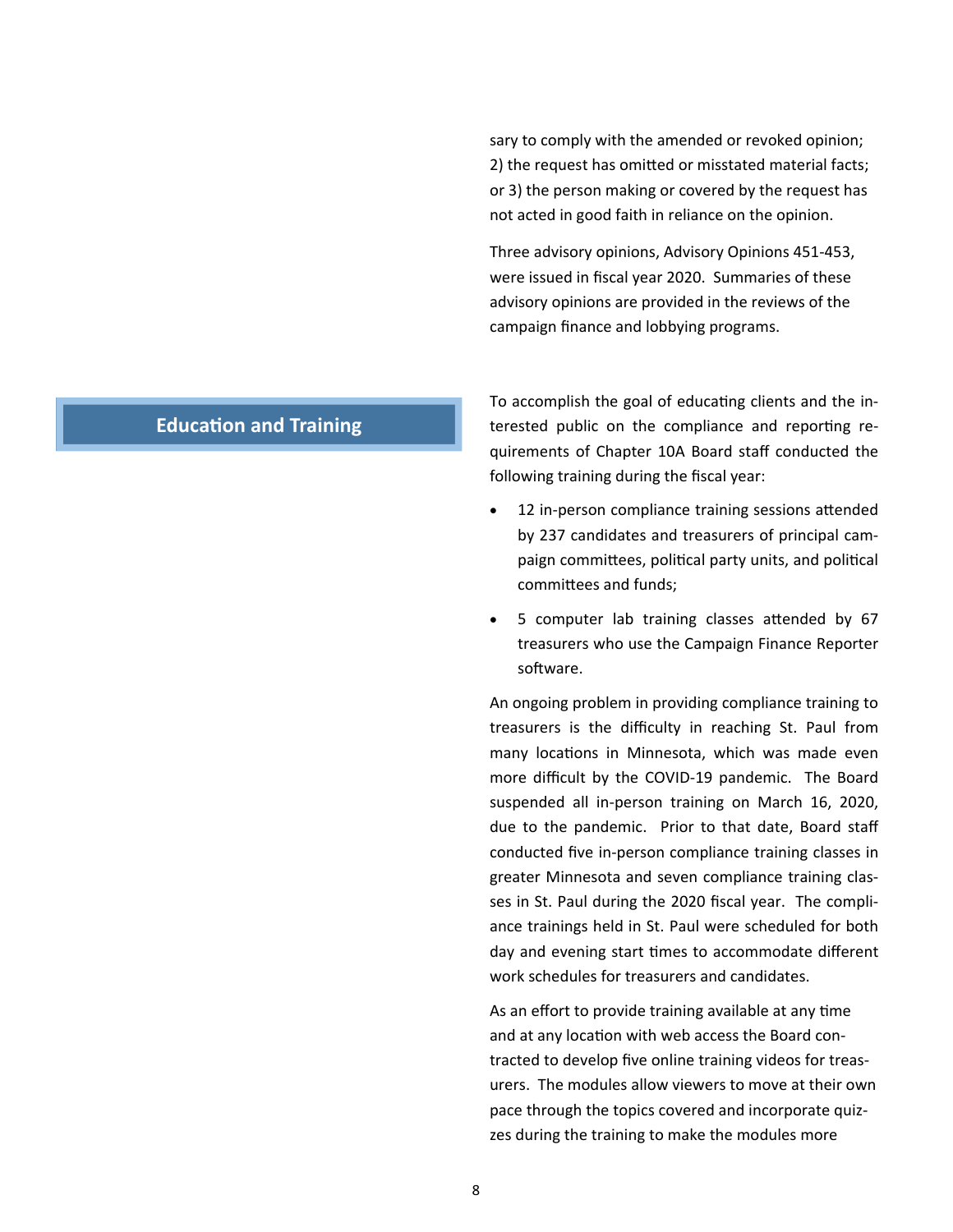sary to comply with the amended or revoked opinion; 2) the request has omitted or misstated material facts; or 3) the person making or covered by the request has not acted in good faith in reliance on the opinion.

Three advisory opinions, Advisory Opinions 451‐453, were issued in fiscal year 2020. Summaries of these advisory opinions are provided in the reviews of the campaign finance and lobbying programs.

## **Education and Training**

To accomplish the goal of educating clients and the interested public on the compliance and reporting requirements of Chapter 10A Board staff conducted the following training during the fiscal year:

- 12 in-person compliance training sessions attended by 237 candidates and treasurers of principal cam‐ paign committees, political party units, and political committees and funds:
- 5 computer lab training classes attended by 67 treasurers who use the Campaign Finance Reporter software.

An ongoing problem in providing compliance training to treasurers is the difficulty in reaching St. Paul from many locations in Minnesota, which was made even more difficult by the COVID-19 pandemic. The Board suspended all in-person training on March 16, 2020, due to the pandemic. Prior to that date, Board staff conducted five in‐person compliance training classes in greater Minnesota and seven compliance training clas‐ ses in St. Paul during the 2020 fiscal year. The compliance trainings held in St. Paul were scheduled for both day and evening start times to accommodate different work schedules for treasurers and candidates.

As an effort to provide training available at any time and at any location with web access the Board contracted to develop five online training videos for treas‐ urers. The modules allow viewers to move at their own pace through the topics covered and incorporate quiz‐ zes during the training to make the modules more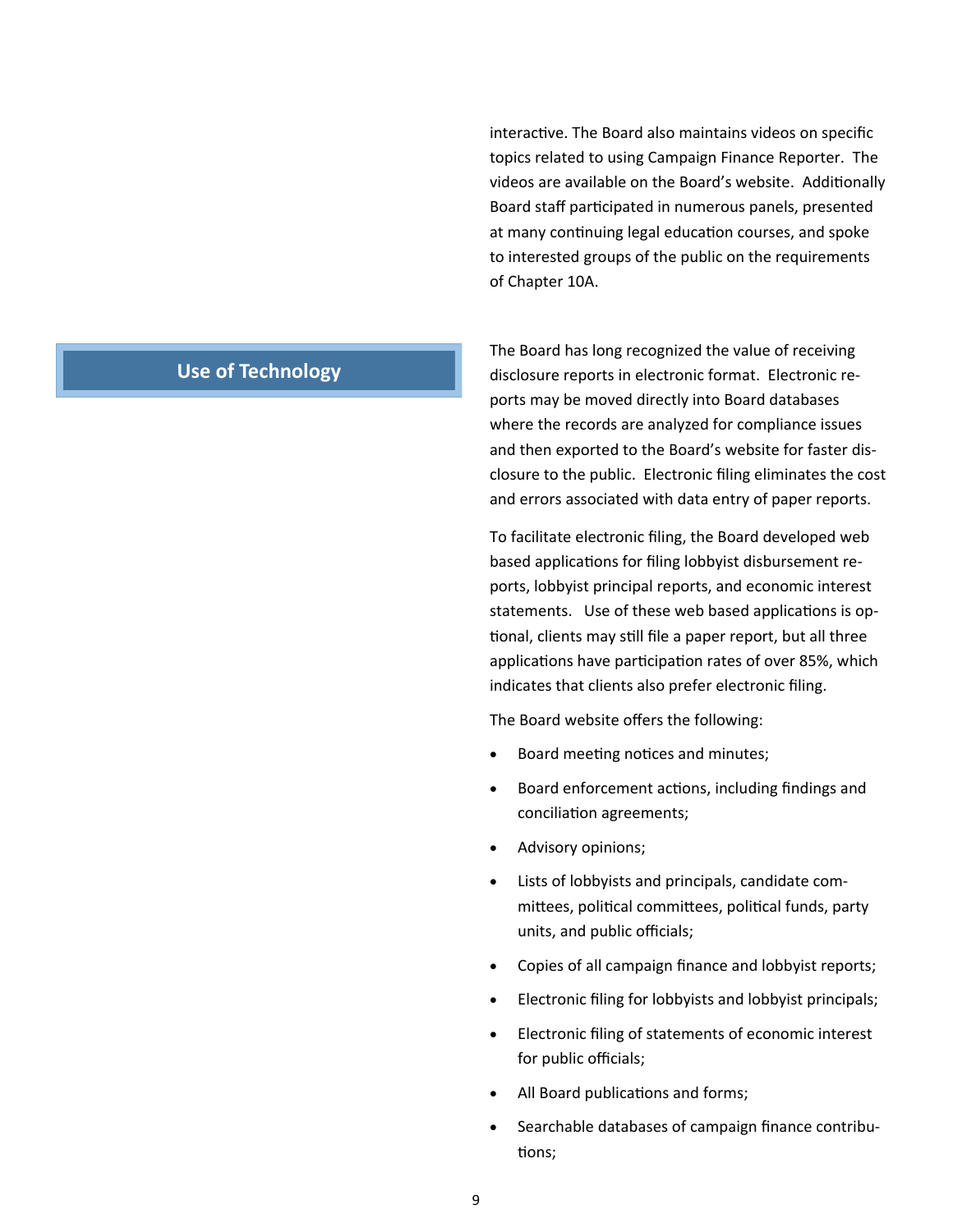interactive. The Board also maintains videos on specific topics related to using Campaign Finance Reporter. The videos are available on the Board's website. Additionally Board staff participated in numerous panels, presented at many continuing legal education courses, and spoke to interested groups of the public on the requirements of Chapter 10A.

## **Use of Technology**

The Board has long recognized the value of receiving disclosure reports in electronic format. Electronic re‐ ports may be moved directly into Board databases where the records are analyzed for compliance issues and then exported to the Board's website for faster dis‐ closure to the public. Electronic filing eliminates the cost and errors associated with data entry of paper reports.

To facilitate electronic filing, the Board developed web based applications for filing lobbyist disbursement reports, lobbyist principal reports, and economic interest statements. Use of these web based applications is optional, clients may still file a paper report, but all three applications have participation rates of over 85%, which indicates that clients also prefer electronic filing.

The Board website offers the following:

- Board meeting notices and minutes;
- Board enforcement actions, including findings and conciliation agreements;
- Advisory opinions;
- Lists of lobbyists and principals, candidate com‐ mittees, political committees, political funds, party units, and public officials;
- Copies of all campaign finance and lobbyist reports;
- Electronic filing for lobbyists and lobbyist principals;
- Electronic filing of statements of economic interest for public officials;
- All Board publications and forms;
- Searchable databases of campaign finance contribu‐ tions;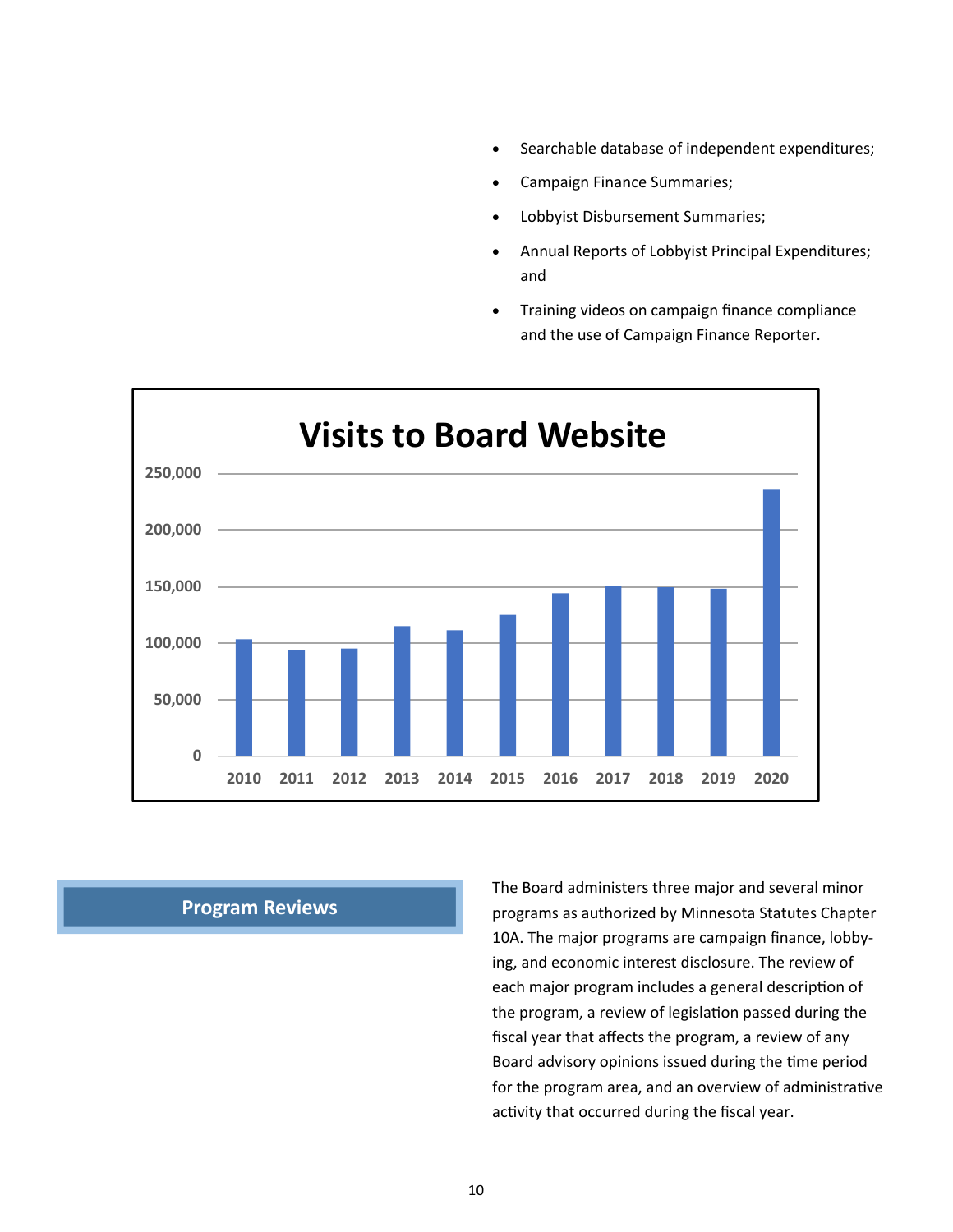- Searchable database of independent expenditures;
- Campaign Finance Summaries;
- Lobbyist Disbursement Summaries;
- Annual Reports of Lobbyist Principal Expenditures; and
- Training videos on campaign finance compliance and the use of Campaign Finance Reporter.



#### **Program Reviews**

The Board administers three major and several minor programs as authorized by Minnesota Statutes Chapter 10A. The major programs are campaign finance, lobby‐ ing, and economic interest disclosure. The review of each major program includes a general description of the program, a review of legislation passed during the fiscal year that affects the program, a review of any Board advisory opinions issued during the time period for the program area, and an overview of administrative activity that occurred during the fiscal year.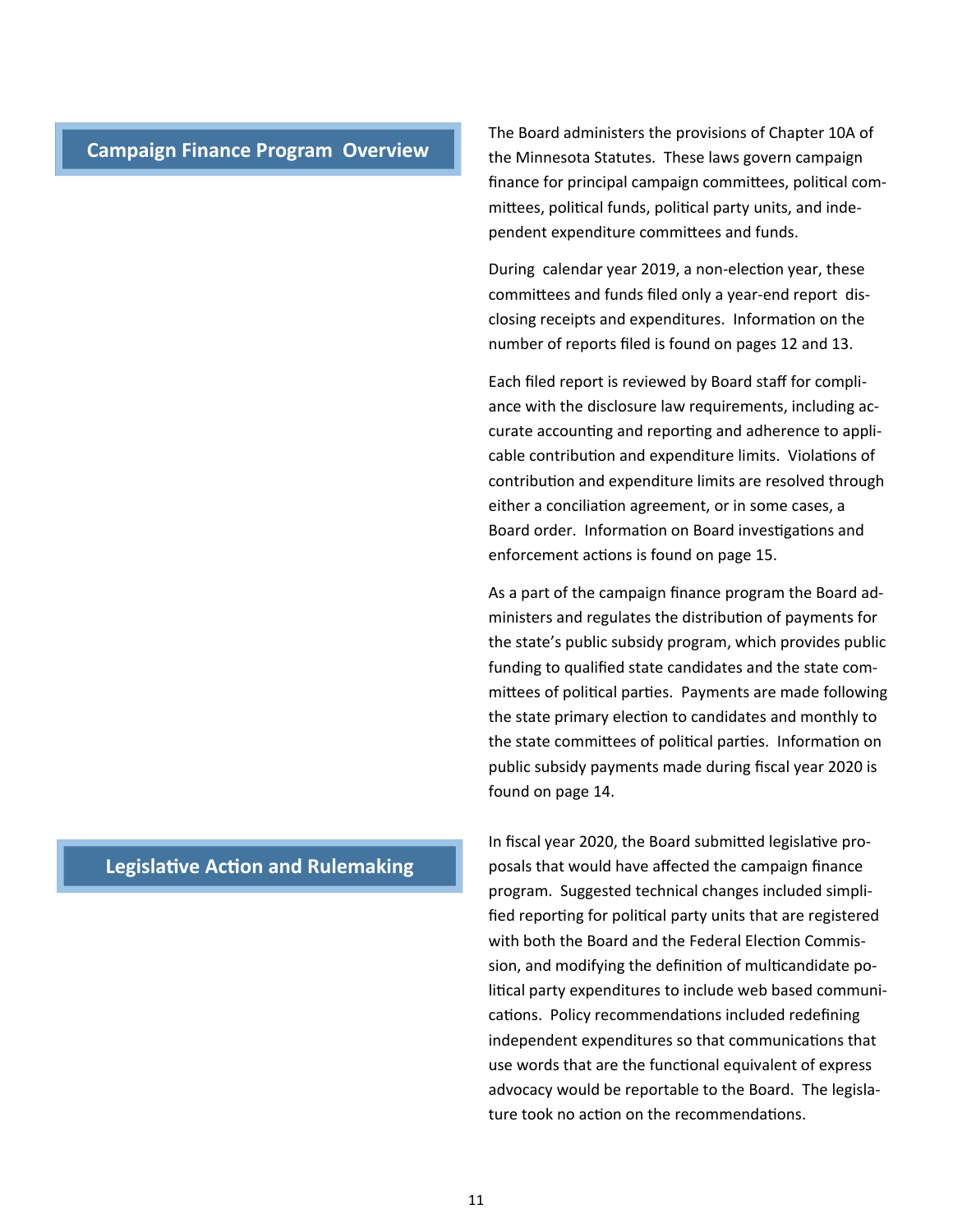#### **Campaign Finance Program Overview**

The Board administers the provisions of Chapter 10A of the Minnesota Statutes. These laws govern campaign finance for principal campaign committees, political committees, political funds, political party units, and independent expenditure committees and funds.

During calendar year 2019, a non-election year, these committees and funds filed only a year-end report disclosing receipts and expenditures. Information on the number of reports filed is found on pages 12 and 13.

Each filed report is reviewed by Board staff for compli‐ ance with the disclosure law requirements, including accurate accounting and reporting and adherence to applicable contribution and expenditure limits. Violations of contribution and expenditure limits are resolved through either a conciliation agreement, or in some cases, a Board order. Information on Board investigations and enforcement actions is found on page 15.

As a part of the campaign finance program the Board ad‐ ministers and regulates the distribution of payments for the state's public subsidy program, which provides public funding to qualified state candidates and the state com‐ mittees of political parties. Payments are made following the state primary election to candidates and monthly to the state committees of political parties. Information on public subsidy payments made during fiscal year 2020 is found on page 14.

In fiscal year 2020, the Board submitted legislative proposals that would have affected the campaign finance program. Suggested technical changes included simpli‐ fied reporting for political party units that are registered with both the Board and the Federal Election Commission, and modifying the definition of multicandidate political party expenditures to include web based communications. Policy recommendations included redefining independent expenditures so that communications that use words that are the functional equivalent of express advocacy would be reportable to the Board. The legisla‐ ture took no action on the recommendations.

## **Legislative Action and Rulemaking**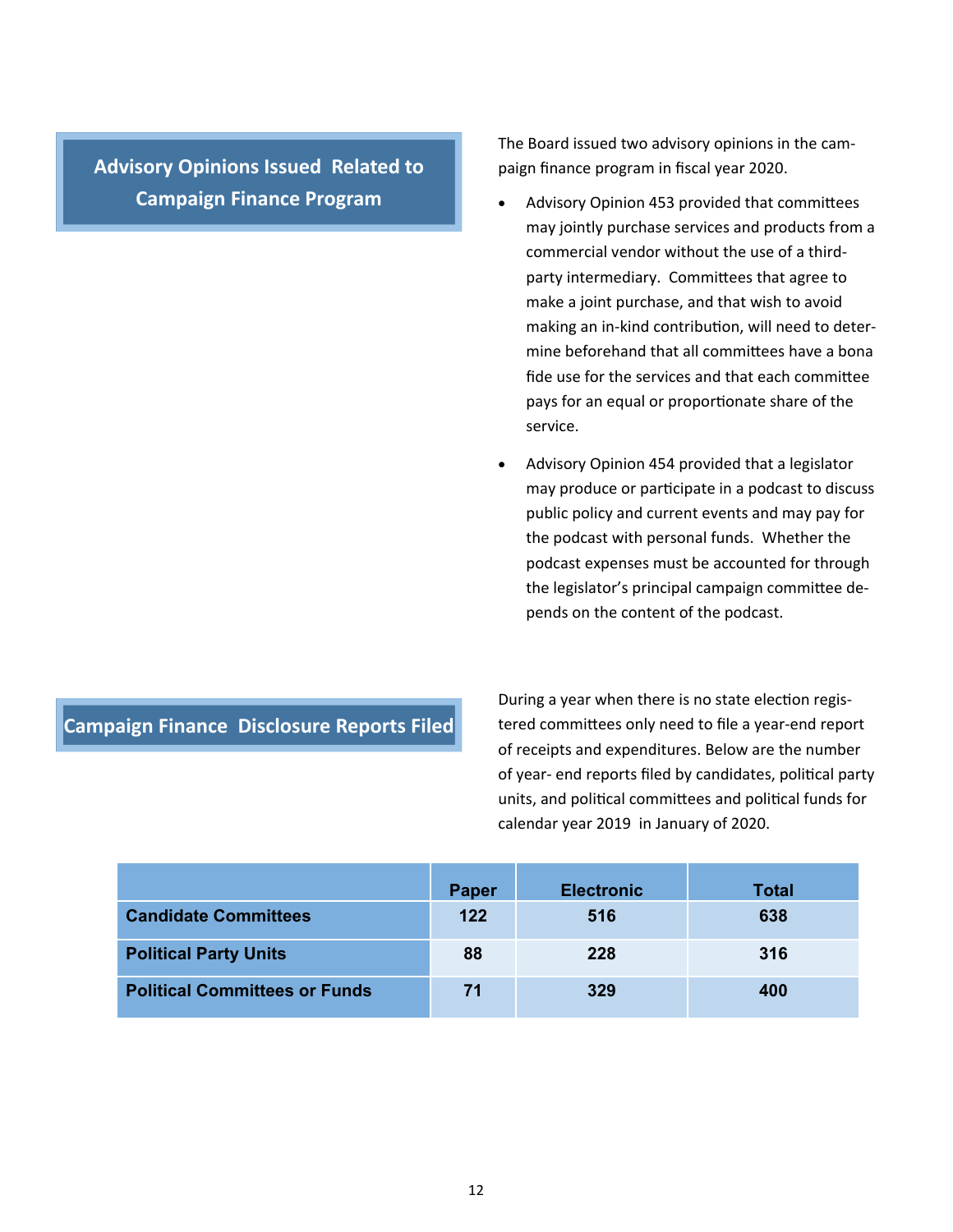**Advisory Opinions Issued Related to Campaign Finance Program** 

The Board issued two advisory opinions in the cam‐ paign finance program in fiscal year 2020.

- Advisory Opinion 453 provided that committees may jointly purchase services and products from a commercial vendor without the use of a third‐ party intermediary. Committees that agree to make a joint purchase, and that wish to avoid making an in-kind contribution, will need to determine beforehand that all committees have a bona fide use for the services and that each committee pays for an equal or proportionate share of the service.
- Advisory Opinion 454 provided that a legislator may produce or participate in a podcast to discuss public policy and current events and may pay for the podcast with personal funds. Whether the podcast expenses must be accounted for through the legislator's principal campaign committee depends on the content of the podcast.

#### **Campaign Finance Disclosure Reports Filed**

During a year when there is no state election registered committees only need to file a year-end report of receipts and expenditures. Below are the number of year- end reports filed by candidates, political party units, and political committees and political funds for calendar year 2019 in January of 2020.

|                                      | Paper | <b>Electronic</b> | <b>Total</b> |
|--------------------------------------|-------|-------------------|--------------|
| <b>Candidate Committees</b>          | 122   | 516               | 638          |
| <b>Political Party Units</b>         | 88    | 228               | 316          |
| <b>Political Committees or Funds</b> | 71    | 329               | 400          |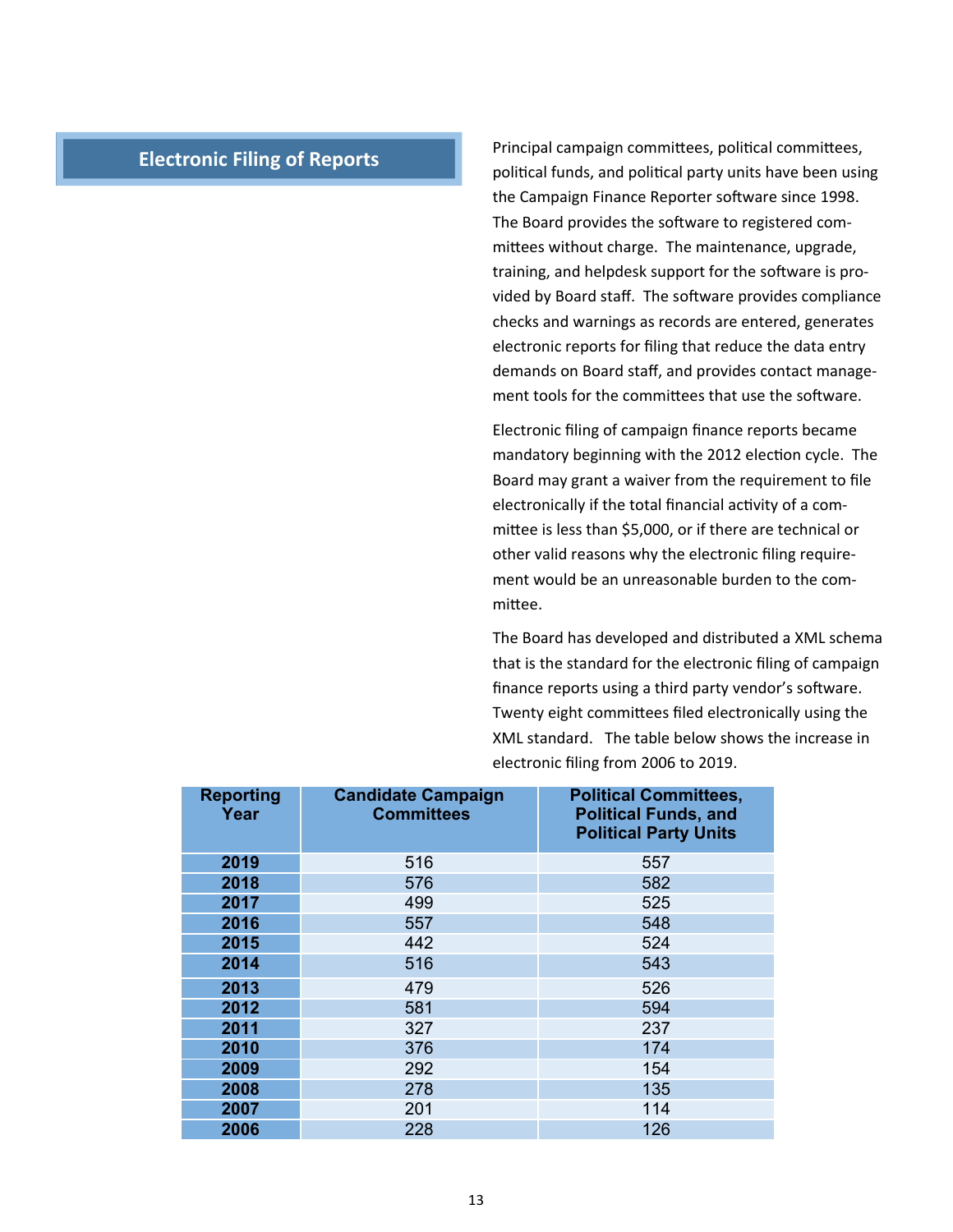### **Electronic Filing of Reports**

Principal campaign committees, political committees, political funds, and political party units have been using the Campaign Finance Reporter software since 1998. The Board provides the software to registered committees without charge. The maintenance, upgrade, training, and helpdesk support for the software is provided by Board staff. The software provides compliance checks and warnings as records are entered, generates electronic reports for filing that reduce the data entry demands on Board staff, and provides contact manage‐ ment tools for the committees that use the software.

Electronic filing of campaign finance reports became mandatory beginning with the 2012 election cycle. The Board may grant a waiver from the requirement to file electronically if the total financial activity of a committee is less than \$5,000, or if there are technical or other valid reasons why the electronic filing require‐ ment would be an unreasonable burden to the committee.

The Board has developed and distributed a XML schema that is the standard for the electronic filing of campaign finance reports using a third party vendor's software. Twenty eight committees filed electronically using the XML standard. The table below shows the increase in electronic filing from 2006 to 2019.

| <b>Reporting</b><br>Year | <b>Candidate Campaign</b><br><b>Committees</b> | <b>Political Committees,</b><br><b>Political Funds, and</b><br><b>Political Party Units</b> |
|--------------------------|------------------------------------------------|---------------------------------------------------------------------------------------------|
| 2019                     | 516                                            | 557                                                                                         |
| 2018                     | 576                                            | 582                                                                                         |
| 2017                     | 499                                            | 525                                                                                         |
| 2016                     | 557                                            | 548                                                                                         |
| 2015                     | 442                                            | 524                                                                                         |
| 2014                     | 516                                            | 543                                                                                         |
| 2013                     | 479                                            | 526                                                                                         |
| 2012                     | 581                                            | 594                                                                                         |
| 2011                     | 327                                            | 237                                                                                         |
| 2010                     | 376                                            | 174                                                                                         |
| 2009                     | 292                                            | 154                                                                                         |
| 2008                     | 278                                            | 135                                                                                         |
| 2007                     | 201                                            | 114                                                                                         |
| 2006                     | 228                                            | 126                                                                                         |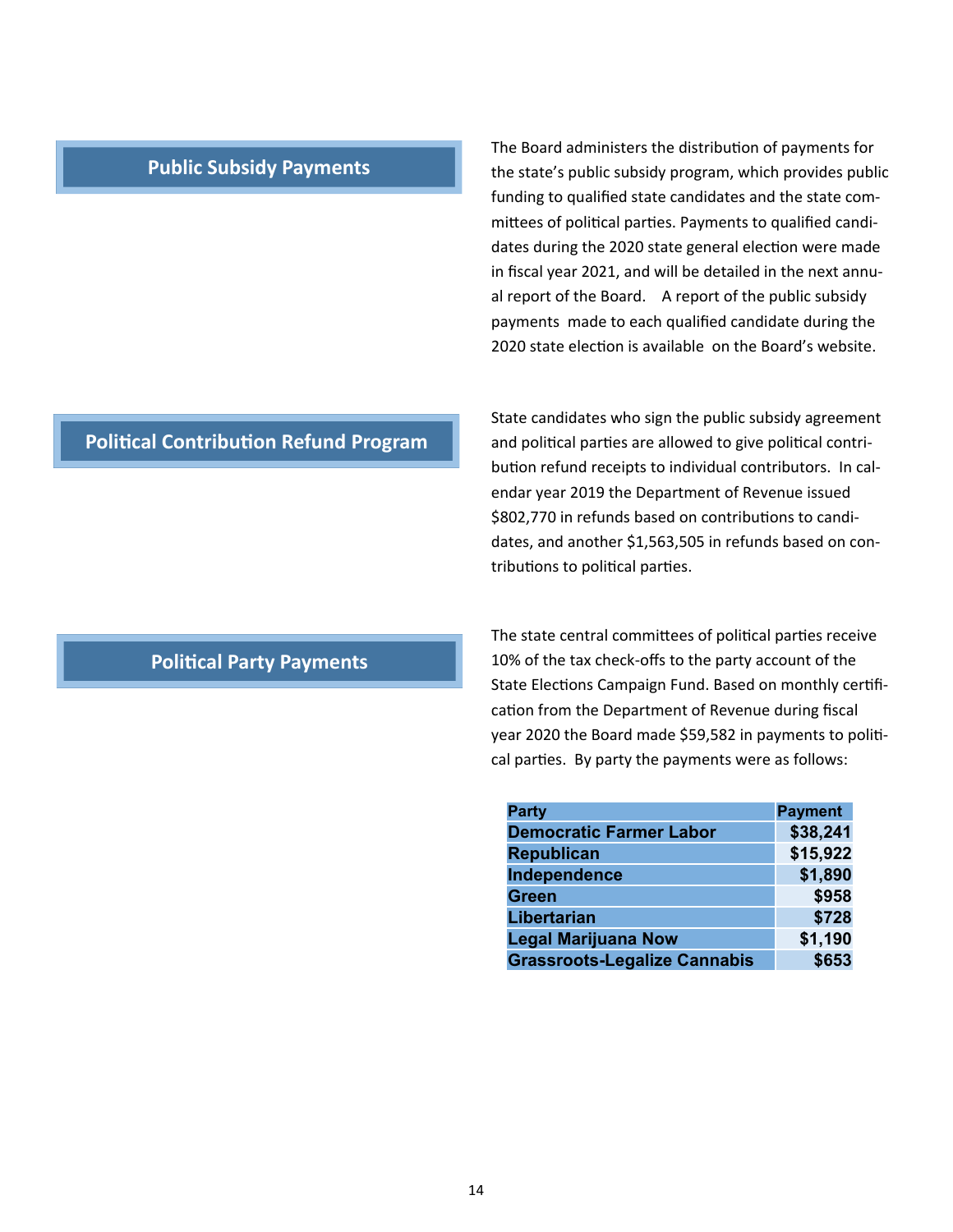#### **Public Subsidy Payments**

The Board administers the distribution of payments for the state's public subsidy program, which provides public funding to qualified state candidates and the state com‐ mittees of political parties. Payments to qualified candidates during the 2020 state general election were made in fiscal year 2021, and will be detailed in the next annu‐ al report of the Board. A report of the public subsidy payments made to each qualified candidate during the 2020 state election is available on the Board's website.

## **Political Contribution Refund Program**

State candidates who sign the public subsidy agreement and political parties are allowed to give political contribution refund receipts to individual contributors. In calendar year 2019 the Department of Revenue issued \$802,770 in refunds based on contributions to candidates, and another \$1,563,505 in refunds based on con‐ tributions to political parties.

### **Political Party Payments**

The state central committees of political parties receive 10% of the tax check‐offs to the party account of the State Elections Campaign Fund. Based on monthly certification from the Department of Revenue during fiscal year 2020 the Board made \$59,582 in payments to political parties. By party the payments were as follows:

| <b>Party</b>                        | <b>Payment</b> |
|-------------------------------------|----------------|
| <b>Democratic Farmer Labor</b>      | \$38,241       |
| <b>Republican</b>                   | \$15,922       |
| Independence                        | \$1,890        |
| <b>Green</b>                        | \$958          |
| Libertarian                         | \$728          |
| <b>Legal Marijuana Now</b>          | \$1,190        |
| <b>Grassroots-Legalize Cannabis</b> | \$653          |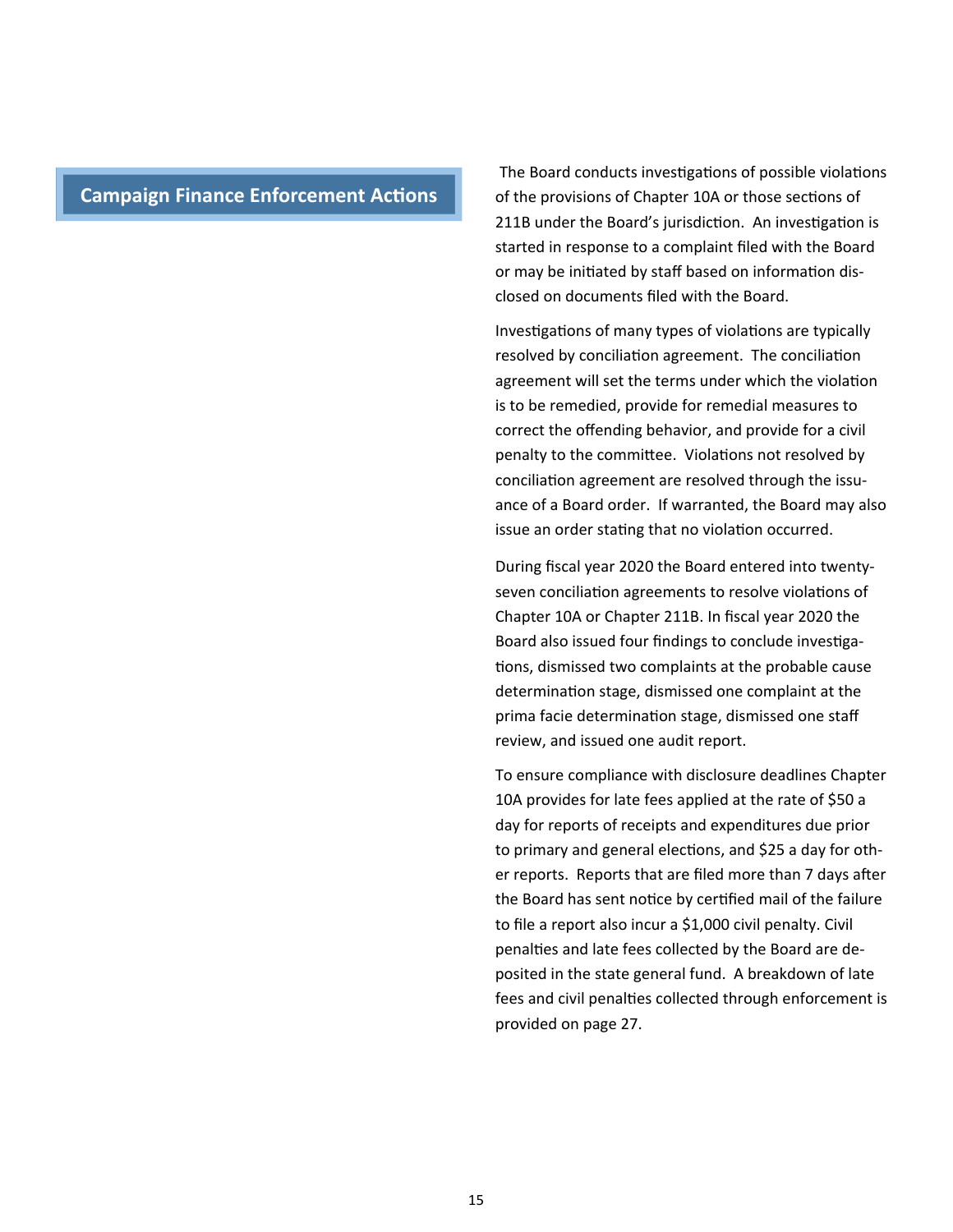## **Campaign Finance Enforcement Actions**

The Board conducts investigations of possible violations of the provisions of Chapter 10A or those sections of 211B under the Board's jurisdiction. An investigation is started in response to a complaint filed with the Board or may be initiated by staff based on information disclosed on documents filed with the Board.

Investigations of many types of violations are typically resolved by conciliation agreement. The conciliation agreement will set the terms under which the violation is to be remedied, provide for remedial measures to correct the offending behavior, and provide for a civil penalty to the committee. Violations not resolved by conciliation agreement are resolved through the issuance of a Board order. If warranted, the Board may also issue an order stating that no violation occurred.

During fiscal year 2020 the Board entered into twenty‐ seven conciliation agreements to resolve violations of Chapter 10A or Chapter 211B. In fiscal year 2020 the Board also issued four findings to conclude investigations, dismissed two complaints at the probable cause determination stage, dismissed one complaint at the prima facie determination stage, dismissed one staff review, and issued one audit report.

To ensure compliance with disclosure deadlines Chapter 10A provides for late fees applied at the rate of \$50 a day for reports of receipts and expenditures due prior to primary and general elections, and \$25 a day for other reports. Reports that are filed more than 7 days after the Board has sent notice by certified mail of the failure to file a report also incur a \$1,000 civil penalty. Civil penalties and late fees collected by the Board are deposited in the state general fund. A breakdown of late fees and civil penalties collected through enforcement is provided on page 27.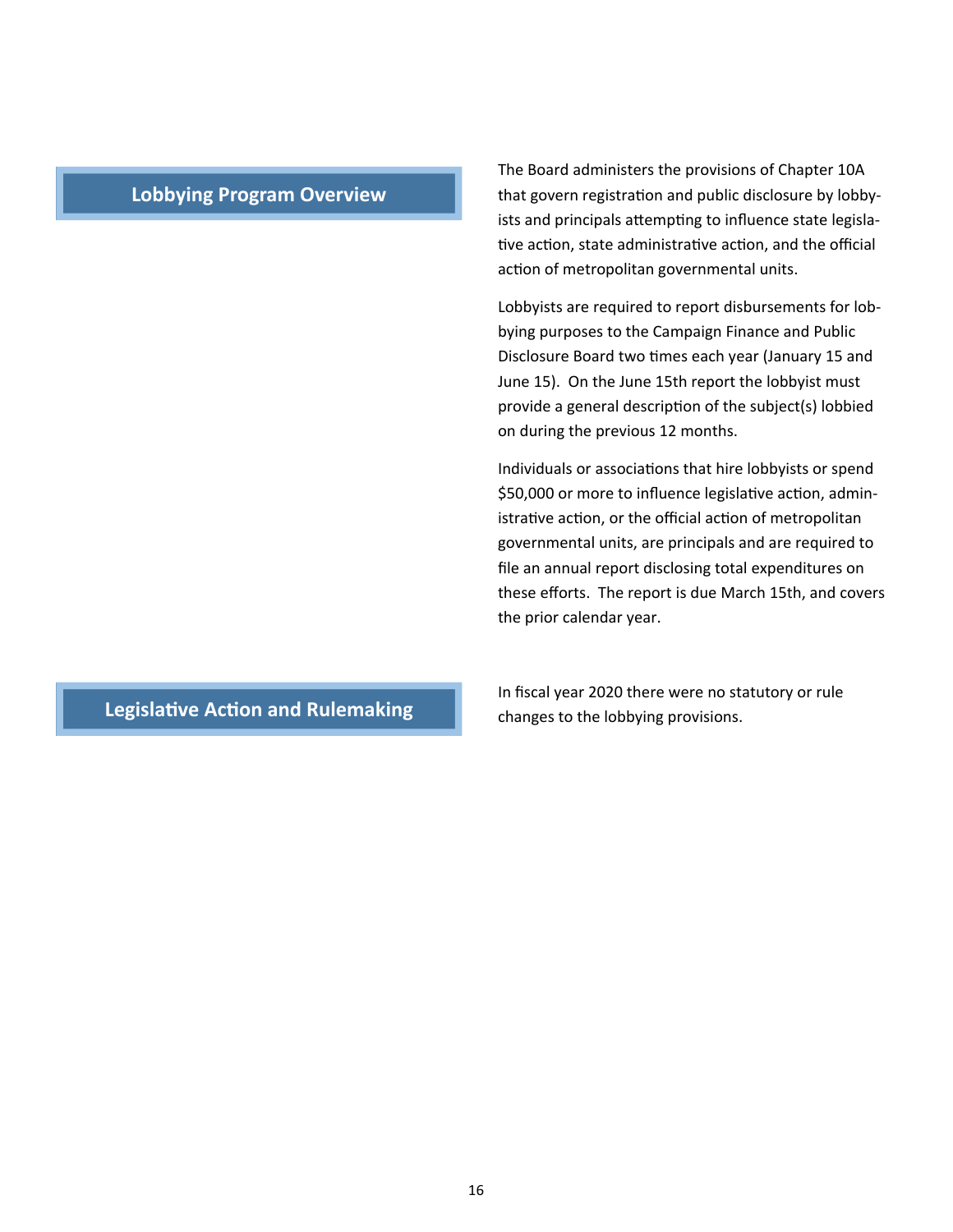#### **Lobbying Program Overview**

The Board administers the provisions of Chapter 10A that govern registration and public disclosure by lobbyists and principals attempting to influence state legislative action, state administrative action, and the official action of metropolitan governmental units.

Lobbyists are required to report disbursements for lob‐ bying purposes to the Campaign Finance and Public Disclosure Board two times each year (January 15 and June 15). On the June 15th report the lobbyist must provide a general description of the subject(s) lobbied on during the previous 12 months.

Individuals or associations that hire lobbyists or spend \$50,000 or more to influence legislative action, administrative action, or the official action of metropolitan governmental units, are principals and are required to file an annual report disclosing total expenditures on these efforts. The report is due March 15th, and covers the prior calendar year.

## **Legislative Action and Rulemaking**

In fiscal year 2020 there were no statutory or rule changes to the lobbying provisions.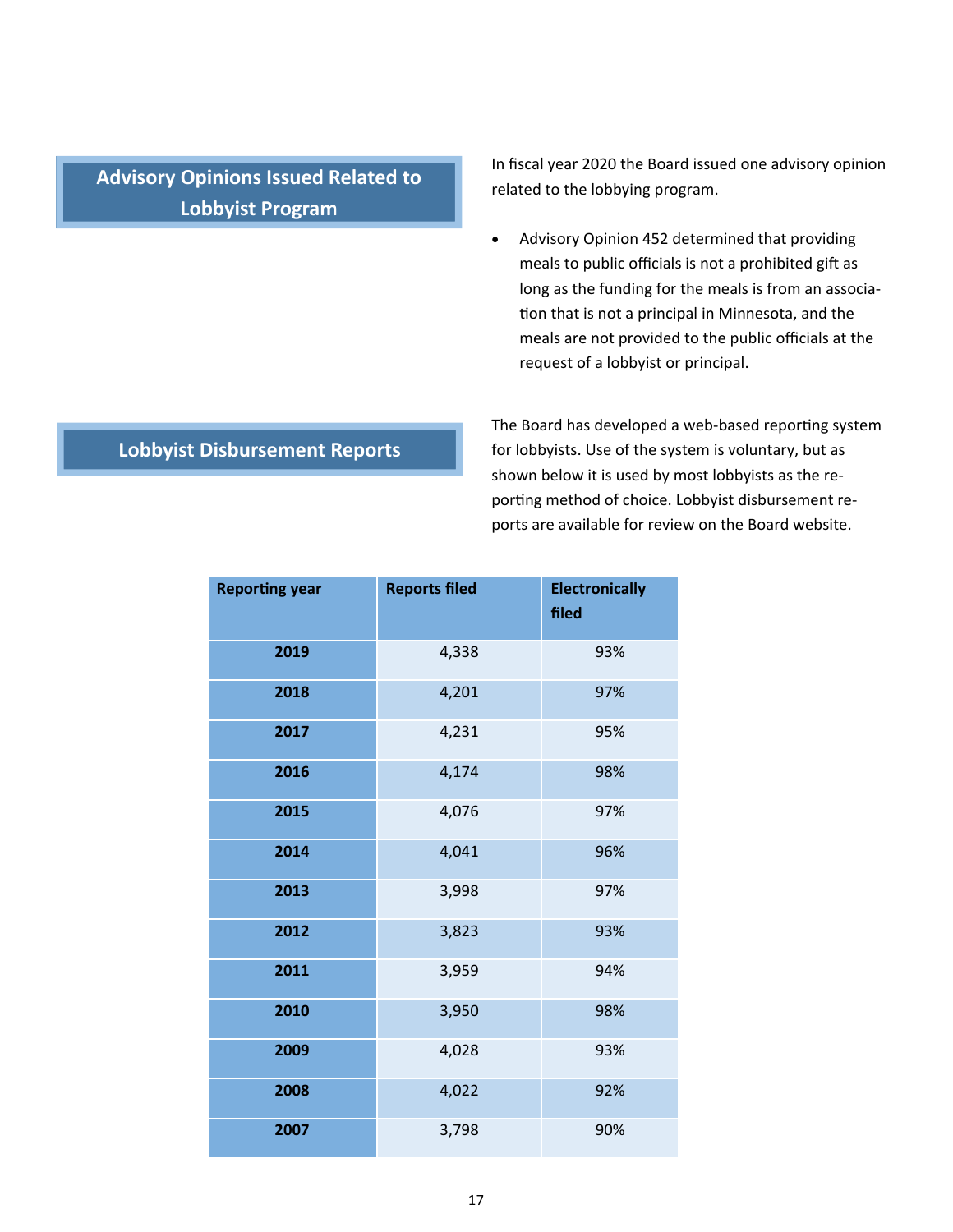**Advisory Opinions Issued Related to Lobbyist Program** 

In fiscal year 2020 the Board issued one advisory opinion related to the lobbying program.

 Advisory Opinion 452 determined that providing meals to public officials is not a prohibited gift as long as the funding for the meals is from an associa‐ tion that is not a principal in Minnesota, and the meals are not provided to the public officials at the request of a lobbyist or principal.

## **Lobbyist Disbursement Reports**

The Board has developed a web-based reporting system for lobbyists. Use of the system is voluntary, but as shown below it is used by most lobbyists as the re‐ porting method of choice. Lobbyist disbursement reports are available for review on the Board website.

| <b>Reporting year</b> | <b>Reports filed</b> | <b>Electronically</b><br>filed |
|-----------------------|----------------------|--------------------------------|
| 2019                  | 4,338                | 93%                            |
| 2018                  | 4,201                | 97%                            |
| 2017                  | 4,231                | 95%                            |
| 2016                  | 4,174                | 98%                            |
| 2015                  | 4,076                | 97%                            |
| 2014                  | 4,041                | 96%                            |
| 2013                  | 3,998                | 97%                            |
| 2012                  | 3,823                | 93%                            |
| 2011                  | 3,959                | 94%                            |
| 2010                  | 3,950                | 98%                            |
| 2009                  | 4,028                | 93%                            |
| 2008                  | 4,022                | 92%                            |
| 2007                  | 3,798                | 90%                            |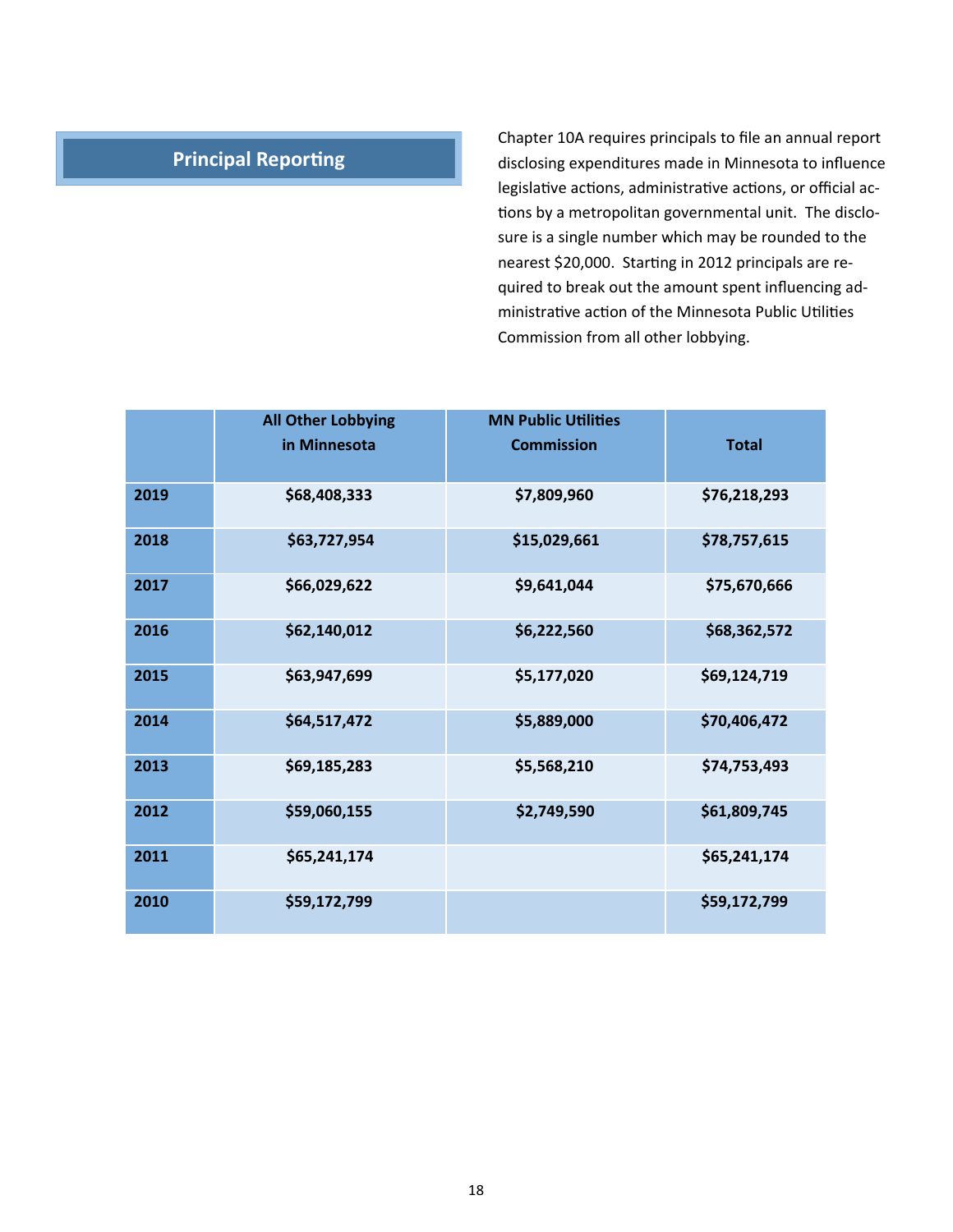## **Principal Reporting**

Chapter 10A requires principals to file an annual report disclosing expenditures made in Minnesota to influence legislative actions, administrative actions, or official actions by a metropolitan governmental unit. The disclosure is a single number which may be rounded to the nearest \$20,000. Starting in 2012 principals are required to break out the amount spent influencing ad‐ ministrative action of the Minnesota Public Utilities Commission from all other lobbying.

|      | <b>All Other Lobbying</b> | <b>MN Public Utilities</b> |              |
|------|---------------------------|----------------------------|--------------|
|      | in Minnesota              | <b>Commission</b>          | <b>Total</b> |
| 2019 | \$68,408,333              | \$7,809,960                | \$76,218,293 |
| 2018 | \$63,727,954              | \$15,029,661               | \$78,757,615 |
| 2017 | \$66,029,622              | \$9,641,044                | \$75,670,666 |
| 2016 | \$62,140,012              | \$6,222,560                | \$68,362,572 |
| 2015 | \$63,947,699              | \$5,177,020                | \$69,124,719 |
| 2014 | \$64,517,472              | \$5,889,000                | \$70,406,472 |
| 2013 | \$69,185,283              | \$5,568,210                | \$74,753,493 |
| 2012 | \$59,060,155              | \$2,749,590                | \$61,809,745 |
| 2011 | \$65,241,174              |                            | \$65,241,174 |
| 2010 | \$59,172,799              |                            | \$59,172,799 |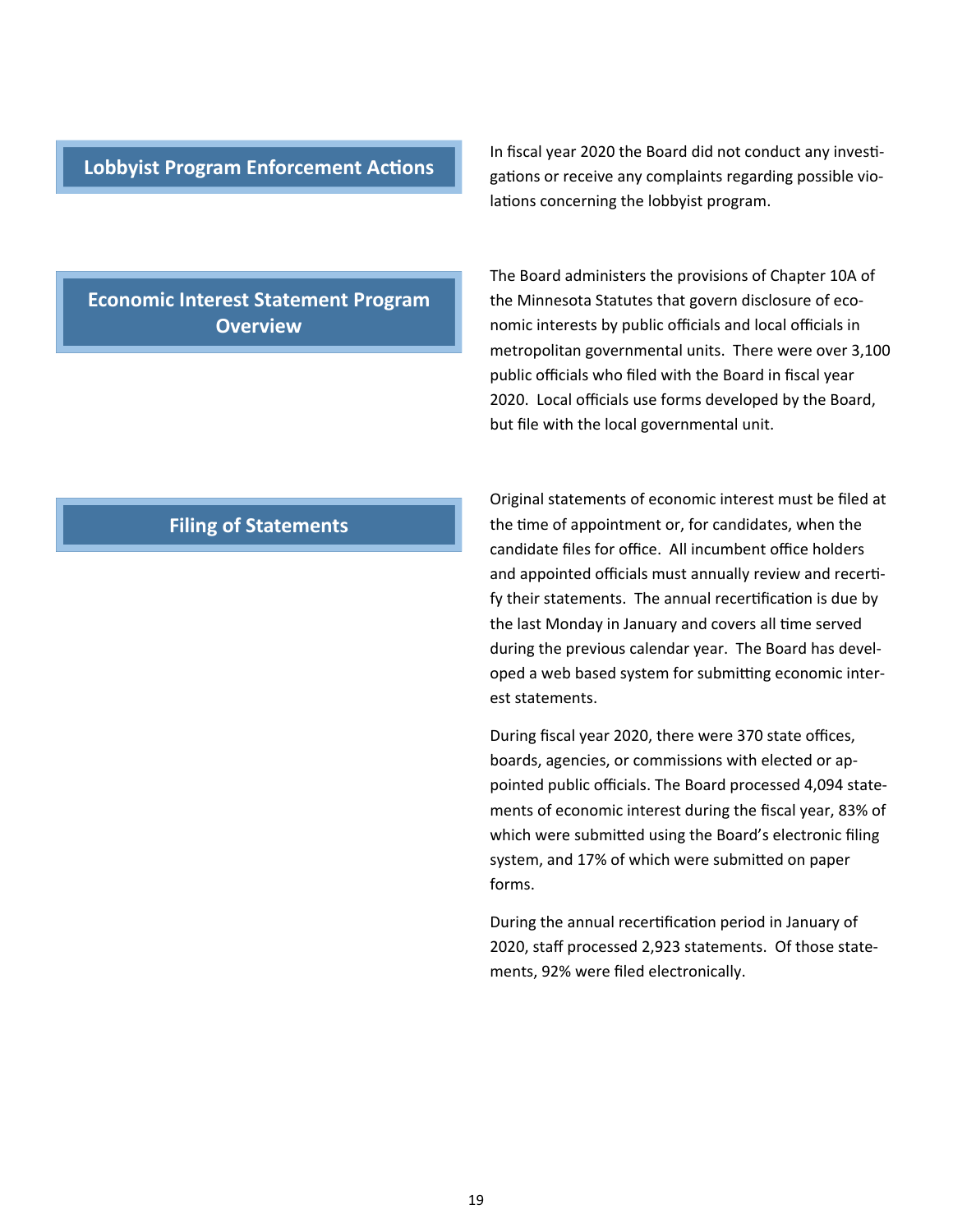#### **Lobbyist Program Enforcement Actions**

In fiscal year 2020 the Board did not conduct any investigations or receive any complaints regarding possible violations concerning the lobbyist program.

**Economic Interest Statement Program Overview** 

The Board administers the provisions of Chapter 10A of the Minnesota Statutes that govern disclosure of eco‐ nomic interests by public officials and local officials in metropolitan governmental units. There were over 3,100 public officials who filed with the Board in fiscal year 2020. Local officials use forms developed by the Board, but file with the local governmental unit.

#### **Filing of Statements**

Original statements of economic interest must be filed at the time of appointment or, for candidates, when the candidate files for office. All incumbent office holders and appointed officials must annually review and recertify their statements. The annual recertification is due by the last Monday in January and covers all time served during the previous calendar year. The Board has devel‐ oped a web based system for submitting economic interest statements.

During fiscal year 2020, there were 370 state offices, boards, agencies, or commissions with elected or ap‐ pointed public officials. The Board processed 4,094 state‐ ments of economic interest during the fiscal year, 83% of which were submitted using the Board's electronic filing system, and 17% of which were submitted on paper forms.

During the annual recertification period in January of 2020, staff processed 2,923 statements. Of those state‐ ments, 92% were filed electronically.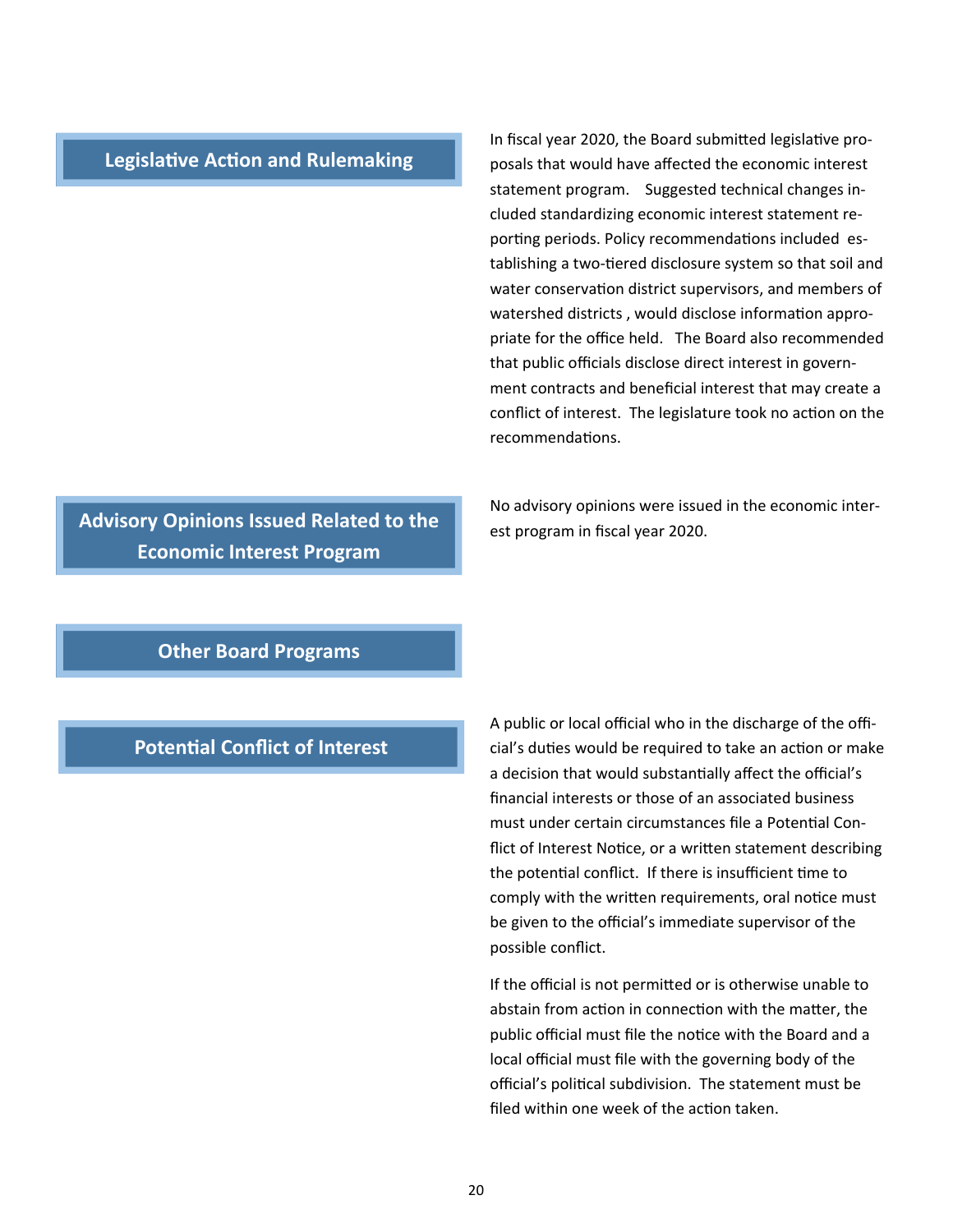#### **Legislative Action and Rulemaking**

In fiscal year 2020, the Board submitted legislative proposals that would have affected the economic interest statement program. Suggested technical changes included standardizing economic interest statement re‐ porting periods. Policy recommendations included establishing a two-tiered disclosure system so that soil and water conservation district supervisors, and members of watershed districts, would disclose information appropriate for the office held. The Board also recommended that public officials disclose direct interest in govern‐ ment contracts and beneficial interest that may create a conflict of interest. The legislature took no action on the recommendaƟons.

No advisory opinions were issued in the economic inter‐ est program in fiscal year 2020.

**Advisory Opinions Issued Related to the Economic Interest Program** 

## **Other Board Programs**

## **Potential Conflict of Interest**

A public or local official who in the discharge of the offi‐ cial's duties would be required to take an action or make a decision that would substantially affect the official's financial interests or those of an associated business must under certain circumstances file a Potential Conflict of Interest Notice, or a written statement describing the potential conflict. If there is insufficient time to comply with the written requirements, oral notice must be given to the official's immediate supervisor of the possible conflict.

If the official is not permitted or is otherwise unable to abstain from action in connection with the matter, the public official must file the notice with the Board and a local official must file with the governing body of the official's political subdivision. The statement must be filed within one week of the action taken.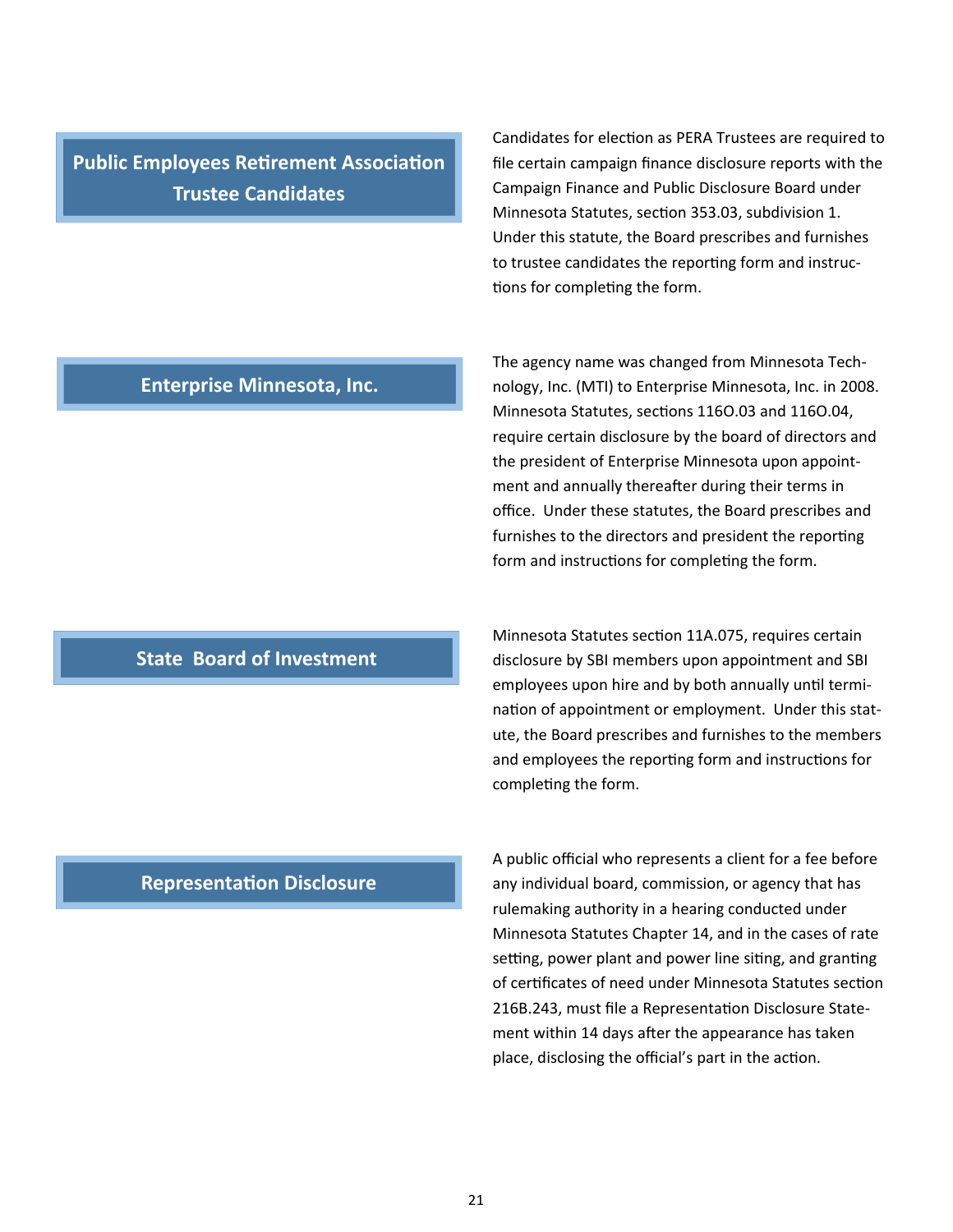**Public Employees Retirement Association Trustee Candidates** 

Candidates for election as PERA Trustees are required to file certain campaign finance disclosure reports with the Campaign Finance and Public Disclosure Board under Minnesota Statutes, section 353.03, subdivision 1. Under this statute, the Board prescribes and furnishes to trustee candidates the reporting form and instructions for completing the form.

#### **Enterprise Minnesota, Inc.**

## The agency name was changed from Minnesota Tech‐ nology, Inc. (MTI) to Enterprise Minnesota, Inc. in 2008. Minnesota Statutes, sections 1160.03 and 1160.04, require certain disclosure by the board of directors and the president of Enterprise Minnesota upon appoint‐ ment and annually thereafter during their terms in office. Under these statutes, the Board prescribes and furnishes to the directors and president the reporting form and instructions for completing the form.

## Minnesota Statutes section 11A.075, requires certain disclosure by SBI members upon appointment and SBI employees upon hire and by both annually until termination of appointment or employment. Under this statute, the Board prescribes and furnishes to the members and employees the reporting form and instructions for completing the form.

## A public official who represents a client for a fee before any individual board, commission, or agency that has rulemaking authority in a hearing conducted under Minnesota Statutes Chapter 14, and in the cases of rate setting, power plant and power line siting, and granting of certificates of need under Minnesota Statutes section 216B.243, must file a Representation Disclosure Statement within 14 days after the appearance has taken place, disclosing the official's part in the action.

#### **RepresentaƟon Disclosure**

**State Board of Investment**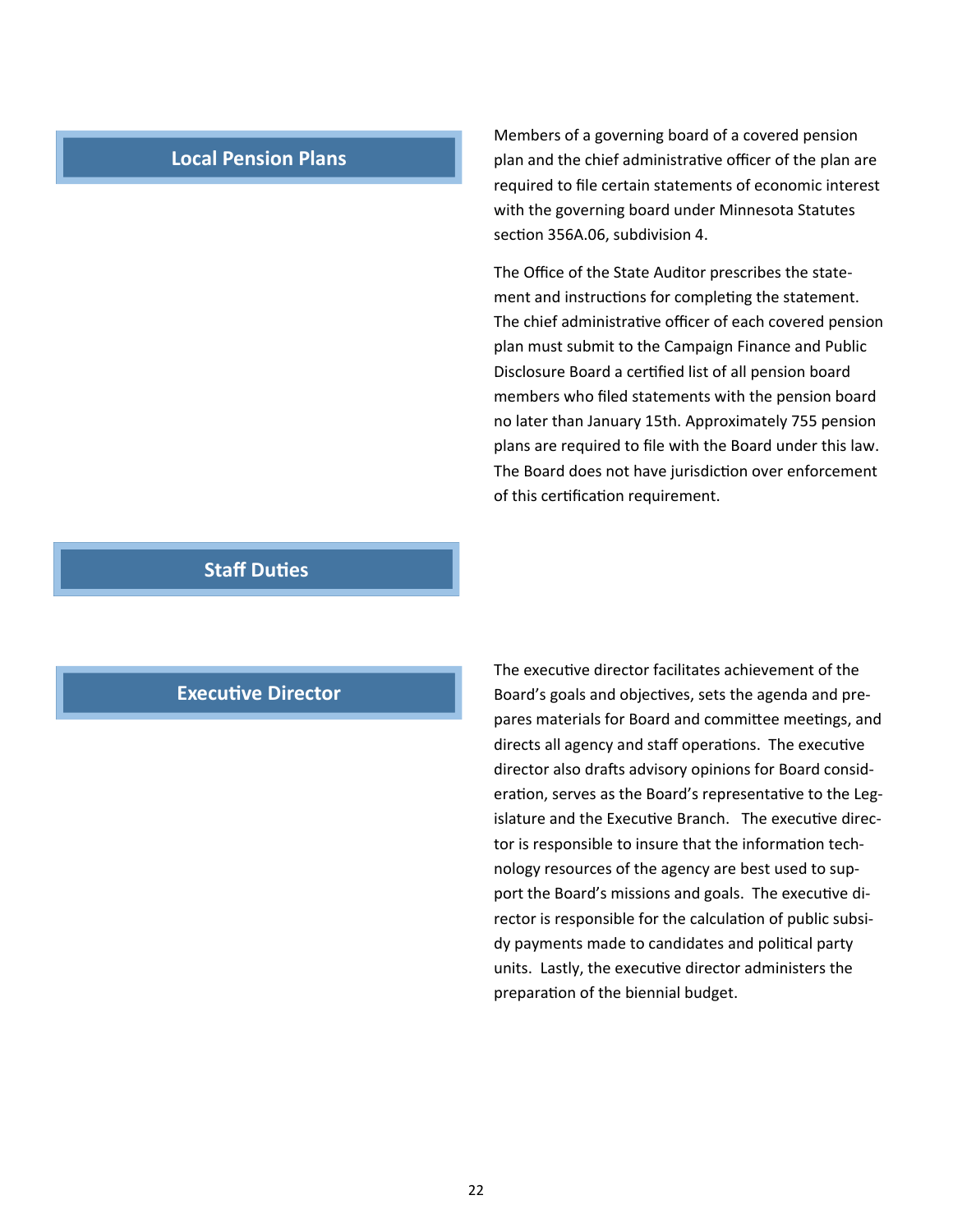#### **Local Pension Plans**

Members of a governing board of a covered pension plan and the chief administrative officer of the plan are required to file certain statements of economic interest with the governing board under Minnesota Statutes section 356A.06, subdivision 4.

The Office of the State Auditor prescribes the state‐ ment and instructions for completing the statement. The chief administrative officer of each covered pension plan must submit to the Campaign Finance and Public Disclosure Board a certified list of all pension board members who filed statements with the pension board no later than January 15th. Approximately 755 pension plans are required to file with the Board under this law. The Board does not have jurisdiction over enforcement of this certification requirement.

#### **Staff DuƟes**

#### **Executive Director**

The executive director facilitates achievement of the Board's goals and objectives, sets the agenda and prepares materials for Board and committee meetings, and directs all agency and staff operations. The executive director also drafts advisory opinions for Board consideration, serves as the Board's representative to the Legislature and the Executive Branch. The executive director is responsible to insure that the information technology resources of the agency are best used to sup‐ port the Board's missions and goals. The executive director is responsible for the calculation of public subsidy payments made to candidates and political party units. Lastly, the executive director administers the preparation of the biennial budget.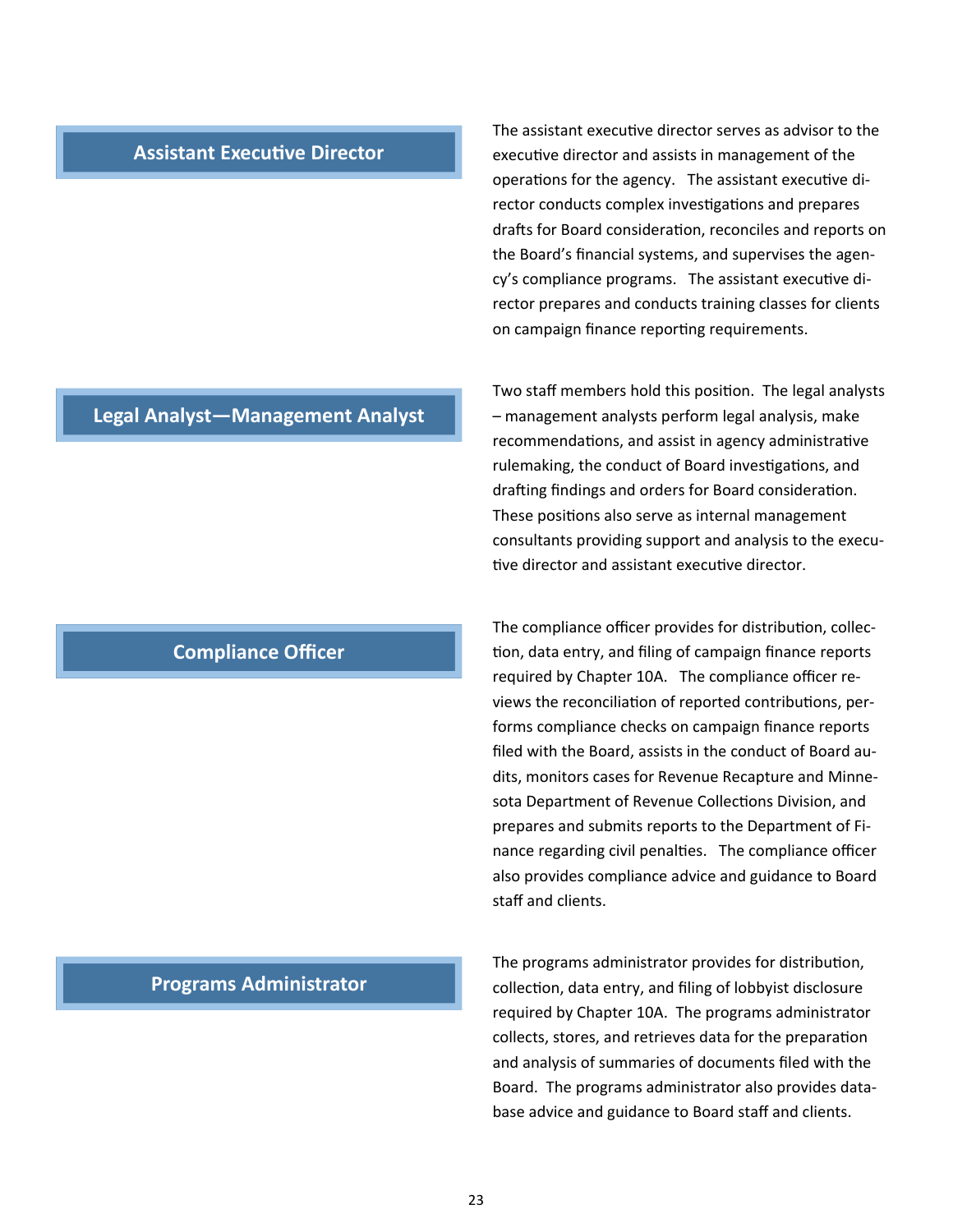#### **Assistant Executive Director**

The assistant executive director serves as advisor to the executive director and assists in management of the operations for the agency. The assistant executive director conducts complex investigations and prepares drafts for Board consideration, reconciles and reports on the Board's financial systems, and supervises the agen‐ cy's compliance programs. The assistant executive director prepares and conducts training classes for clients on campaign finance reporting requirements.

Two staff members hold this position. The legal analysts – management analysts perform legal analysis, make recommendations, and assist in agency administrative rulemaking, the conduct of Board investigations, and drafting findings and orders for Board consideration. These positions also serve as internal management consultants providing support and analysis to the execu‐ tive director and assistant executive director.

The compliance officer provides for distribution, collection, data entry, and filing of campaign finance reports required by Chapter 10A. The compliance officer re‐ views the reconciliation of reported contributions, performs compliance checks on campaign finance reports filed with the Board, assists in the conduct of Board au‐ dits, monitors cases for Revenue Recapture and Minne‐ sota Department of Revenue Collections Division, and prepares and submits reports to the Department of Fi‐ nance regarding civil penalties. The compliance officer also provides compliance advice and guidance to Board staff and clients.

The programs administrator provides for distribution, collection, data entry, and filing of lobbyist disclosure required by Chapter 10A. The programs administrator collects, stores, and retrieves data for the preparation and analysis of summaries of documents filed with the Board. The programs administrator also provides data‐ base advice and guidance to Board staff and clients.

#### **Legal Analyst—Management Analyst**

## **Compliance Officer**

#### **Programs Administrator**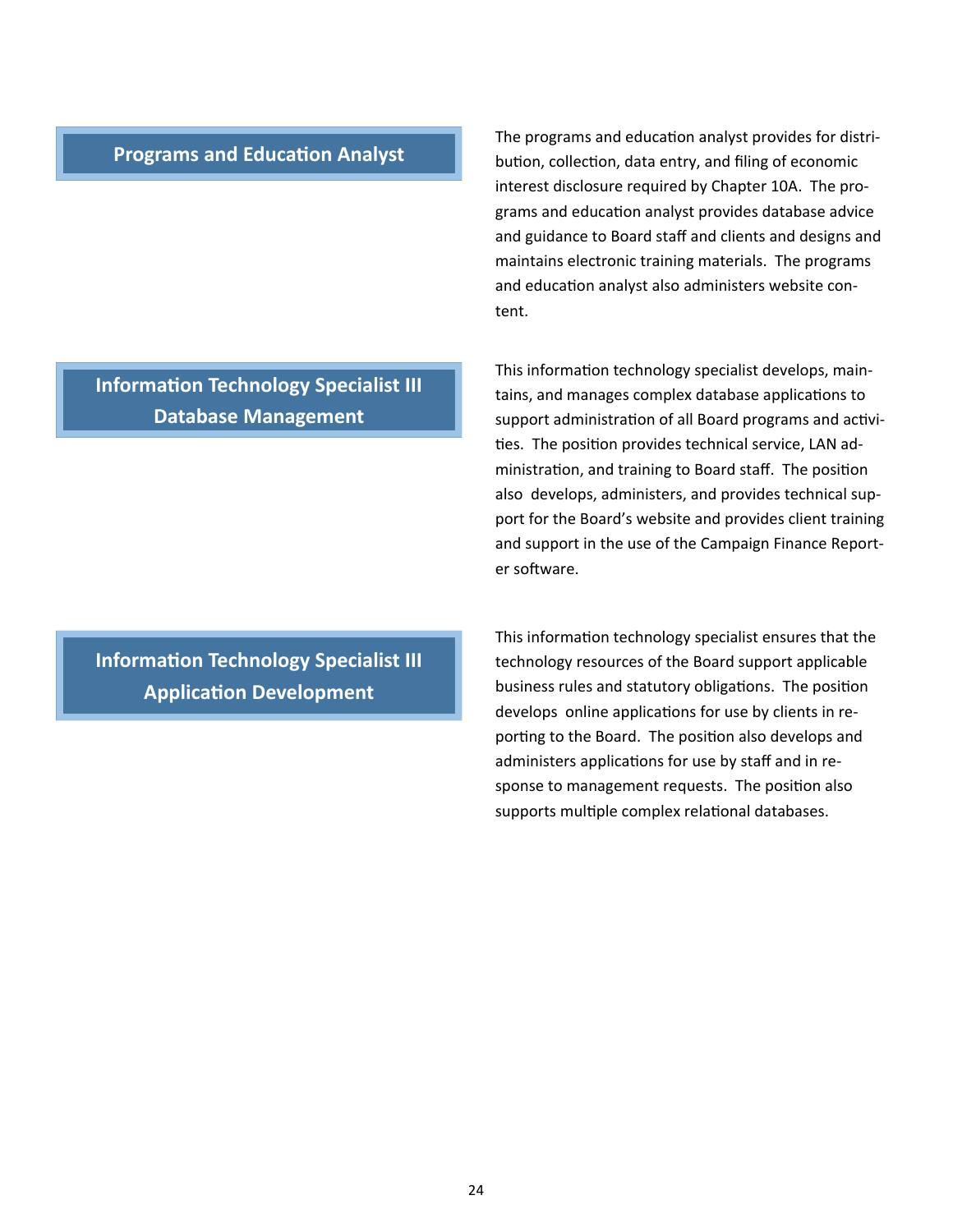## **Programs and Education Analyst**

The programs and education analyst provides for distribution, collection, data entry, and filing of economic interest disclosure required by Chapter 10A. The pro‐ grams and education analyst provides database advice and guidance to Board staff and clients and designs and maintains electronic training materials. The programs and education analyst also administers website content.

**Information Technology Specialist III Database Management** 

**Information Technology Specialist III Application Development** 

This information technology specialist develops, maintains, and manages complex database applications to support administration of all Board programs and activities. The position provides technical service, LAN administration, and training to Board staff. The position also develops, administers, and provides technical sup‐ port for the Board's website and provides client training and support in the use of the Campaign Finance Report‐ er software.

This information technology specialist ensures that the technology resources of the Board support applicable business rules and statutory obligations. The position develops online applications for use by clients in reporting to the Board. The position also develops and administers applications for use by staff and in response to management requests. The position also supports multiple complex relational databases.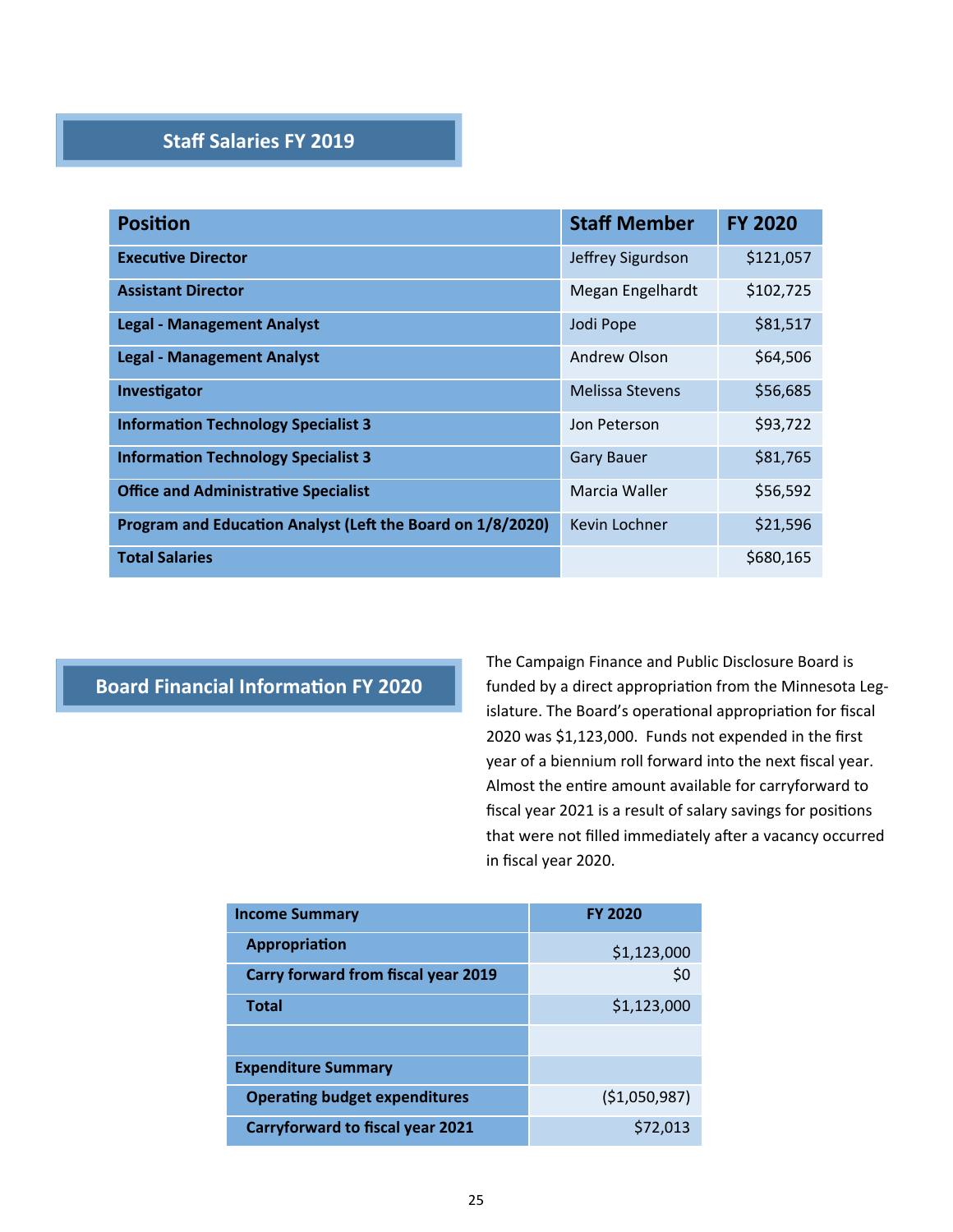## **Staff Salaries FY 2019**

| <b>Position</b>                                            | <b>Staff Member</b> | <b>FY 2020</b> |
|------------------------------------------------------------|---------------------|----------------|
| <b>Executive Director</b>                                  | Jeffrey Sigurdson   | \$121,057      |
| <b>Assistant Director</b>                                  | Megan Engelhardt    | \$102,725      |
| <b>Legal - Management Analyst</b>                          | Jodi Pope           | \$81,517       |
| <b>Legal - Management Analyst</b>                          | Andrew Olson        | \$64,506       |
| Investigator                                               | Melissa Stevens     | \$56,685       |
| <b>Information Technology Specialist 3</b>                 | Jon Peterson        | \$93,722       |
| <b>Information Technology Specialist 3</b>                 | <b>Gary Bauer</b>   | \$81,765       |
| <b>Office and Administrative Specialist</b>                | Marcia Waller       | \$56,592       |
| Program and Education Analyst (Left the Board on 1/8/2020) | Kevin Lochner       | \$21,596       |
| <b>Total Salaries</b>                                      |                     | \$680,165      |

## **Board Financial Information FY 2020**

The Campaign Finance and Public Disclosure Board is funded by a direct appropriation from the Minnesota Legislature. The Board's operational appropriation for fiscal 2020 was \$1,123,000. Funds not expended in the first year of a biennium roll forward into the next fiscal year. Almost the entire amount available for carryforward to fiscal year 2021 is a result of salary savings for positions that were not filled immediately after a vacancy occurred in fiscal year 2020.

| <b>Income Summary</b>                   | <b>FY 2020</b> |
|-----------------------------------------|----------------|
| Appropriation                           | \$1,123,000    |
| Carry forward from fiscal year 2019     | \$0            |
| <b>Total</b>                            | \$1,123,000    |
|                                         |                |
| <b>Expenditure Summary</b>              |                |
| <b>Operating budget expenditures</b>    | (51,050,987)   |
| <b>Carryforward to fiscal year 2021</b> | \$72,013       |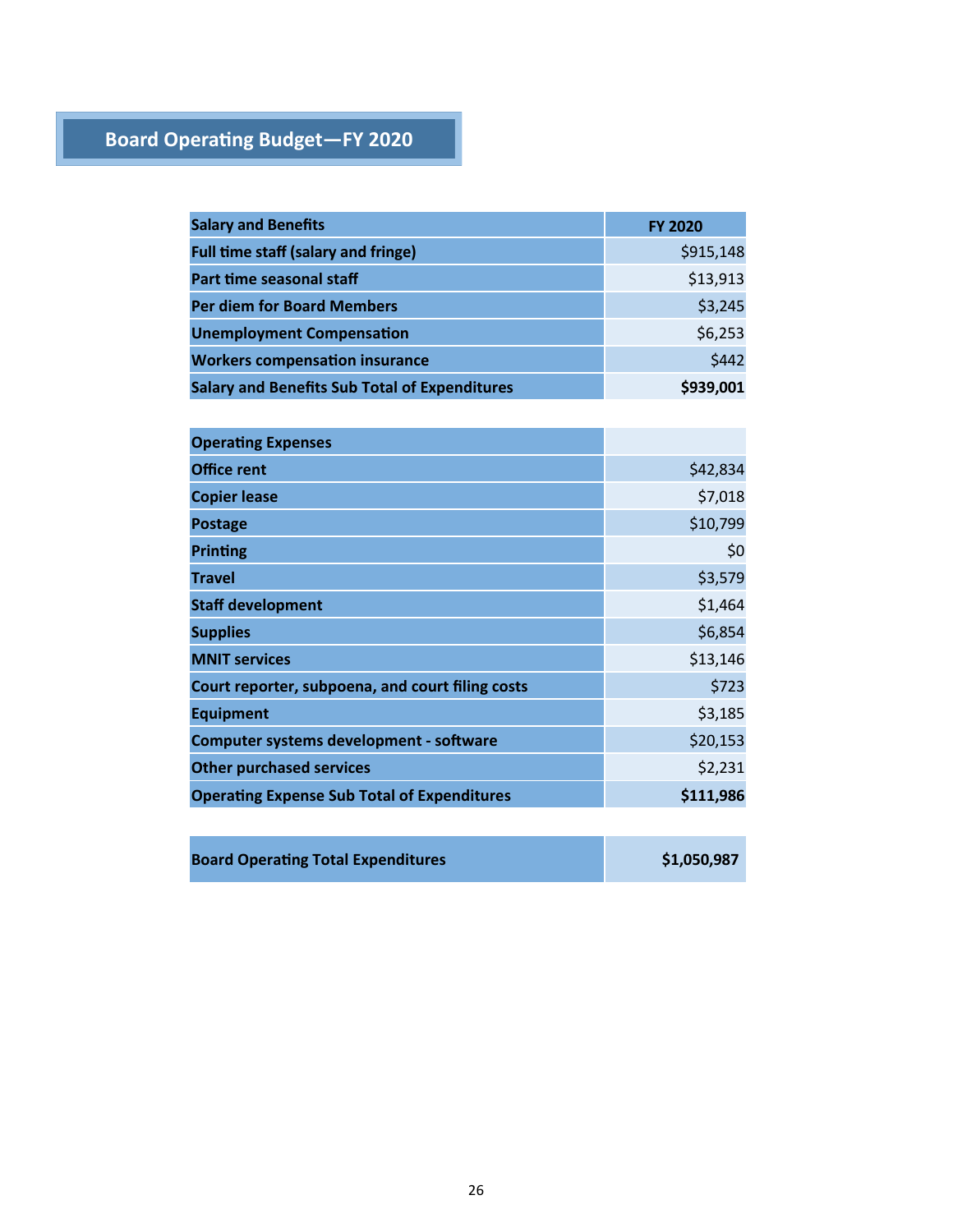## **Board Operating Budget-FY 2020**

| <b>Salary and Benefits</b>                           | <b>FY 2020</b> |
|------------------------------------------------------|----------------|
| <b>Full time staff (salary and fringe)</b>           | \$915,148      |
| Part time seasonal staff                             | \$13,913       |
| <b>Per diem for Board Members</b>                    | \$3,245        |
| <b>Unemployment Compensation</b>                     | \$6,253        |
| <b>Workers compensation insurance</b>                | \$442          |
| <b>Salary and Benefits Sub Total of Expenditures</b> | \$939,001      |

| <b>Operating Expenses</b>                          |           |
|----------------------------------------------------|-----------|
| <b>Office rent</b>                                 | \$42,834  |
| <b>Copier lease</b>                                | \$7,018   |
| <b>Postage</b>                                     | \$10,799  |
| <b>Printing</b>                                    | \$0       |
| <b>Travel</b>                                      | \$3,579   |
| <b>Staff development</b>                           | \$1,464   |
| <b>Supplies</b>                                    | \$6,854   |
| <b>MNIT services</b>                               | \$13,146  |
| Court reporter, subpoena, and court filing costs   | \$723     |
| <b>Equipment</b>                                   | \$3,185   |
| Computer systems development - software            | \$20,153  |
| <b>Other purchased services</b>                    | \$2,231   |
| <b>Operating Expense Sub Total of Expenditures</b> | \$111,986 |
|                                                    |           |

| <b>Board Operating Total Expenditures</b> | \$1,050,987 |
|-------------------------------------------|-------------|
|-------------------------------------------|-------------|